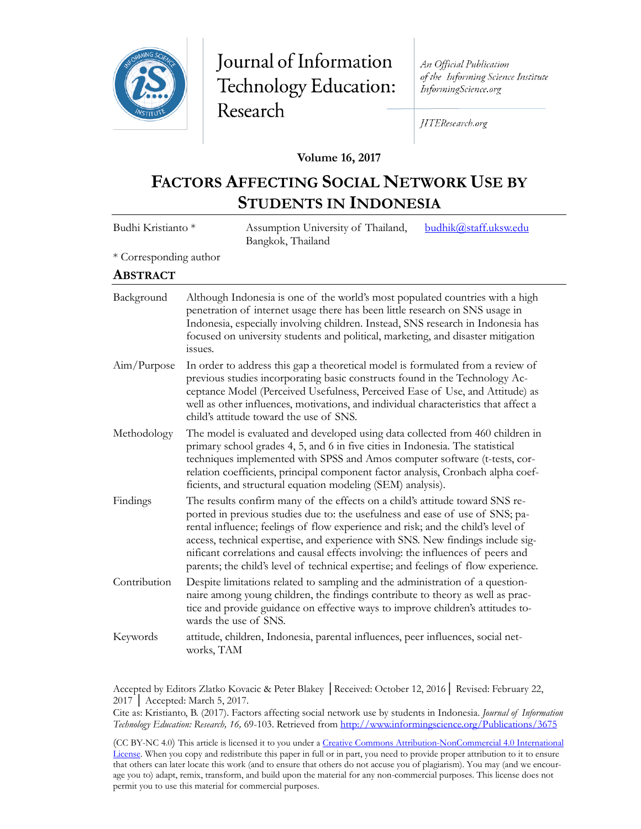

# Journal of Information Technology Education: Research

An Official Publication of the Informing Science Institute InformingScience.org

JITEResearch.org

#### **Volume 16, 2017**

## **FACTORS AFFECTING SOCIAL NETWORK USE BY STUDENTS IN INDONESIA**

| Budhi Kristianto *     | Assumption University of Thailand,<br>budhik@staff.uksw.edu<br>Bangkok, Thailand                                                                                                                                                                                                                                                                                                                                                                                                                               |
|------------------------|----------------------------------------------------------------------------------------------------------------------------------------------------------------------------------------------------------------------------------------------------------------------------------------------------------------------------------------------------------------------------------------------------------------------------------------------------------------------------------------------------------------|
| * Corresponding author |                                                                                                                                                                                                                                                                                                                                                                                                                                                                                                                |
| <b>ABSTRACT</b>        |                                                                                                                                                                                                                                                                                                                                                                                                                                                                                                                |
| Background             | Although Indonesia is one of the world's most populated countries with a high<br>penetration of internet usage there has been little research on SNS usage in<br>Indonesia, especially involving children. Instead, SNS research in Indonesia has<br>focused on university students and political, marketing, and disaster mitigation<br>issues.                                                                                                                                                               |
| Aim/Purpose            | In order to address this gap a theoretical model is formulated from a review of<br>previous studies incorporating basic constructs found in the Technology Ac-<br>ceptance Model (Perceived Usefulness, Perceived Ease of Use, and Attitude) as<br>well as other influences, motivations, and individual characteristics that affect a<br>child's attitude toward the use of SNS.                                                                                                                              |
| Methodology            | The model is evaluated and developed using data collected from 460 children in<br>primary school grades 4, 5, and 6 in five cities in Indonesia. The statistical<br>techniques implemented with SPSS and Amos computer software (t-tests, cor-<br>relation coefficients, principal component factor analysis, Cronbach alpha coef-<br>ficients, and structural equation modeling (SEM) analysis).                                                                                                              |
| Findings               | The results confirm many of the effects on a child's attitude toward SNS re-<br>ported in previous studies due to: the usefulness and ease of use of SNS; pa-<br>rental influence; feelings of flow experience and risk; and the child's level of<br>access, technical expertise, and experience with SNS. New findings include sig-<br>nificant correlations and causal effects involving: the influences of peers and<br>parents; the child's level of technical expertise; and feelings of flow experience. |
| Contribution           | Despite limitations related to sampling and the administration of a question-<br>naire among young children, the findings contribute to theory as well as prac-<br>tice and provide guidance on effective ways to improve children's attitudes to-<br>wards the use of SNS.                                                                                                                                                                                                                                    |
| Keywords               | attitude, children, Indonesia, parental influences, peer influences, social net-<br>works, TAM                                                                                                                                                                                                                                                                                                                                                                                                                 |

Accepted by Editors Zlatko Kovacic & Peter Blakey │Received: October 12, 2016│ Revised: February 22, 2017 │ Accepted: March 5, 2017.

Cite as: Kristianto, B. (2017). Factors affecting social network use by students in Indonesia. *Journal of Information Technology Education: Research, 16,* 69-103. Retrieved from [http://www.informingscience.org/Publications/367](http://www.informingscience.org/Publications/3675)5

(CC BY-NC 4.0) This article is licensed it to you under a Creative Commons Attribution-[NonCommercial 4.0 International](https://creativecommons.org/licenses/by-nc/4.0/)  [License.](https://creativecommons.org/licenses/by-nc/4.0/) When you copy and redistribute this paper in full or in part, you need to provide proper attribution to it to ensure that others can later locate this work (and to ensure that others do not accuse you of plagiarism). You may (and we encourage you to) adapt, remix, transform, and build upon the material for any non-commercial purposes. This license does not permit you to use this material for commercial purposes.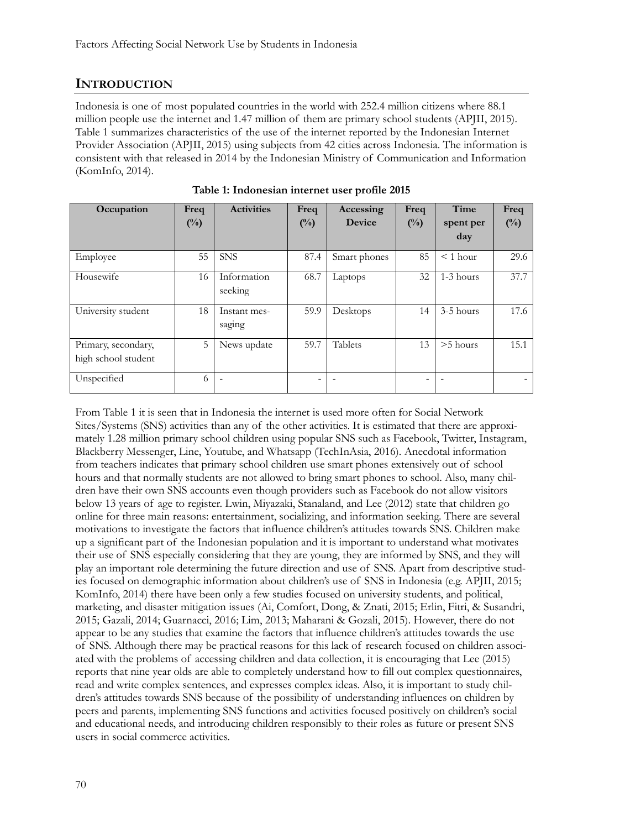## **INTRODUCTION**

Indonesia is one of most populated countries in the world with 252.4 million citizens where 88.1 million people use the internet and 1.47 million of them are primary school students (APJII, 2015). Table 1 summarizes characteristics of the use of the internet reported by the Indonesian Internet Provider Association (APJII, 2015) using subjects from 42 cities across Indonesia. The information is consistent with that released in 2014 by the Indonesian Ministry of Communication and Information (KomInfo, 2014).

| Occupation                                 | Freq   | <b>Activities</b>      | Freq   | Accessing     | Freq           | Time       | Freq           |
|--------------------------------------------|--------|------------------------|--------|---------------|----------------|------------|----------------|
|                                            | $(\%)$ |                        | $(\%)$ | <b>Device</b> | $\binom{0}{0}$ | spent per  | $\binom{0}{0}$ |
|                                            |        |                        |        |               |                | day        |                |
| Employee                                   | 55     | <b>SNS</b>             | 87.4   | Smart phones  | 85             | $<$ 1 hour | 29.6           |
| Housewife                                  | 16     | Information<br>seeking | 68.7   | Laptops       | 32             | 1-3 hours  | 37.7           |
| University student                         | 18     | Instant mes-<br>saging | 59.9   | Desktops      | 14             | 3-5 hours  | 17.6           |
| Primary, secondary,<br>high school student | 5      | News update            | 59.7   | Tablets       | 13             | $>5$ hours | 15.1           |
| Unspecified                                | 6      |                        | -      |               |                |            |                |

**Table 1: Indonesian internet user profile 2015**

From Table 1 it is seen that in Indonesia the internet is used more often for Social Network Sites/Systems (SNS) activities than any of the other activities. It is estimated that there are approximately 1.28 million primary school children using popular SNS such as Facebook, Twitter, Instagram, Blackberry Messenger, Line, Youtube, and Whatsapp (TechInAsia, 2016). Anecdotal information from teachers indicates that primary school children use smart phones extensively out of school hours and that normally students are not allowed to bring smart phones to school. Also, many children have their own SNS accounts even though providers such as Facebook do not allow visitors below 13 years of age to register. Lwin, Miyazaki, Stanaland, and Lee (2012) state that children go online for three main reasons: entertainment, socializing, and information seeking. There are several motivations to investigate the factors that influence children's attitudes towards SNS. Children make up a significant part of the Indonesian population and it is important to understand what motivates their use of SNS especially considering that they are young, they are informed by SNS, and they will play an important role determining the future direction and use of SNS. Apart from descriptive studies focused on demographic information about children's use of SNS in Indonesia (e.g. APJII, 2015; KomInfo, 2014) there have been only a few studies focused on university students, and political, marketing, and disaster mitigation issues (Ai, Comfort, Dong, & Znati, 2015; Erlin, Fitri, & Susandri, 2015; Gazali, 2014; Guarnacci, 2016; Lim, 2013; Maharani & Gozali, 2015). However, there do not appear to be any studies that examine the factors that influence children's attitudes towards the use of SNS. Although there may be practical reasons for this lack of research focused on children associated with the problems of accessing children and data collection, it is encouraging that Lee (2015) reports that nine year olds are able to completely understand how to fill out complex questionnaires, read and write complex sentences, and expresses complex ideas. Also, it is important to study children's attitudes towards SNS because of the possibility of understanding influences on children by peers and parents, implementing SNS functions and activities focused positively on children's social and educational needs, and introducing children responsibly to their roles as future or present SNS users in social commerce activities.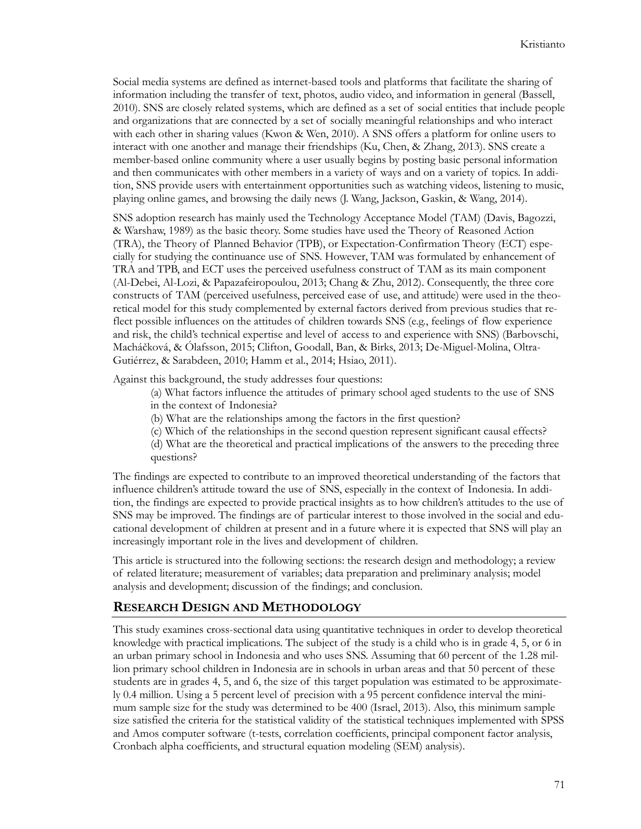Social media systems are defined as internet-based tools and platforms that facilitate the sharing of information including the transfer of text, photos, audio video, and information in general (Bassell, 2010). SNS are closely related systems, which are defined as a set of social entities that include people and organizations that are connected by a set of socially meaningful relationships and who interact with each other in sharing values (Kwon & Wen, 2010). A SNS offers a platform for online users to interact with one another and manage their friendships (Ku, Chen, & Zhang, 2013). SNS create a member-based online community where a user usually begins by posting basic personal information and then communicates with other members in a variety of ways and on a variety of topics. In addition, SNS provide users with entertainment opportunities such as watching videos, listening to music, playing online games, and browsing the daily news (J. Wang, Jackson, Gaskin, & Wang, 2014).

SNS adoption research has mainly used the Technology Acceptance Model (TAM) (Davis, Bagozzi, & Warshaw, 1989) as the basic theory. Some studies have used the Theory of Reasoned Action (TRA), the Theory of Planned Behavior (TPB), or Expectation-Confirmation Theory (ECT) especially for studying the continuance use of SNS. However, TAM was formulated by enhancement of TRA and TPB, and ECT uses the perceived usefulness construct of TAM as its main component (Al-Debei, Al-Lozi, & Papazafeiropoulou, 2013; Chang & Zhu, 2012). Consequently, the three core constructs of TAM (perceived usefulness, perceived ease of use, and attitude) were used in the theoretical model for this study complemented by external factors derived from previous studies that reflect possible influences on the attitudes of children towards SNS (e.g., feelings of flow experience and risk, the child's technical expertise and level of access to and experience with SNS) (Barbovschi, Macháčková, & Ólafsson, 2015; Clifton, Goodall, Ban, & Birks, 2013; De-Miguel-Molina, Oltra-Gutiérrez, & Sarabdeen, 2010; Hamm et al., 2014; Hsiao, 2011).

Against this background, the study addresses four questions:

- (a) What factors influence the attitudes of primary school aged students to the use of SNS in the context of Indonesia?
- (b) What are the relationships among the factors in the first question?
- (c) Which of the relationships in the second question represent significant causal effects?
- (d) What are the theoretical and practical implications of the answers to the preceding three questions?

The findings are expected to contribute to an improved theoretical understanding of the factors that influence children's attitude toward the use of SNS, especially in the context of Indonesia. In addition, the findings are expected to provide practical insights as to how children's attitudes to the use of SNS may be improved. The findings are of particular interest to those involved in the social and educational development of children at present and in a future where it is expected that SNS will play an increasingly important role in the lives and development of children.

This article is structured into the following sections: the research design and methodology; a review of related literature; measurement of variables; data preparation and preliminary analysis; model analysis and development; discussion of the findings; and conclusion.

#### **RESEARCH DESIGN AND METHODOLOGY**

This study examines cross-sectional data using quantitative techniques in order to develop theoretical knowledge with practical implications. The subject of the study is a child who is in grade 4, 5, or 6 in an urban primary school in Indonesia and who uses SNS. Assuming that 60 percent of the 1.28 million primary school children in Indonesia are in schools in urban areas and that 50 percent of these students are in grades 4, 5, and 6, the size of this target population was estimated to be approximately 0.4 million. Using a 5 percent level of precision with a 95 percent confidence interval the minimum sample size for the study was determined to be 400 (Israel, 2013). Also, this minimum sample size satisfied the criteria for the statistical validity of the statistical techniques implemented with SPSS and Amos computer software (t-tests, correlation coefficients, principal component factor analysis, Cronbach alpha coefficients, and structural equation modeling (SEM) analysis).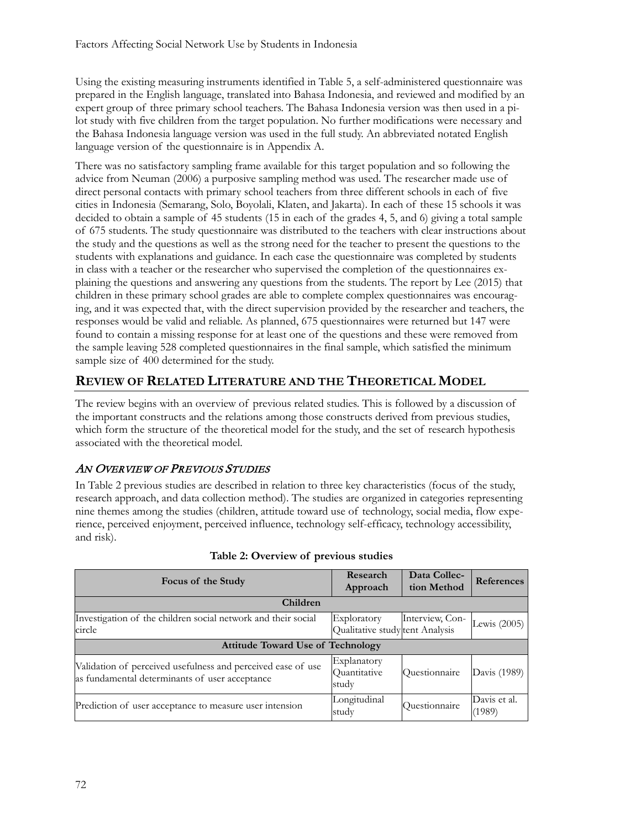Using the existing measuring instruments identified in Table 5, a self-administered questionnaire was prepared in the English language, translated into Bahasa Indonesia, and reviewed and modified by an expert group of three primary school teachers. The Bahasa Indonesia version was then used in a pilot study with five children from the target population. No further modifications were necessary and the Bahasa Indonesia language version was used in the full study. An abbreviated notated English language version of the questionnaire is in Appendix A.

There was no satisfactory sampling frame available for this target population and so following the advice from Neuman (2006) a purposive sampling method was used. The researcher made use of direct personal contacts with primary school teachers from three different schools in each of five cities in Indonesia (Semarang, Solo, Boyolali, Klaten, and Jakarta). In each of these 15 schools it was decided to obtain a sample of 45 students (15 in each of the grades 4, 5, and 6) giving a total sample of 675 students. The study questionnaire was distributed to the teachers with clear instructions about the study and the questions as well as the strong need for the teacher to present the questions to the students with explanations and guidance. In each case the questionnaire was completed by students in class with a teacher or the researcher who supervised the completion of the questionnaires explaining the questions and answering any questions from the students. The report by Lee (2015) that children in these primary school grades are able to complete complex questionnaires was encouraging, and it was expected that, with the direct supervision provided by the researcher and teachers, the responses would be valid and reliable. As planned, 675 questionnaires were returned but 147 were found to contain a missing response for at least one of the questions and these were removed from the sample leaving 528 completed questionnaires in the final sample, which satisfied the minimum sample size of 400 determined for the study.

## **REVIEW OF RELATED LITERATURE AND THE THEORETICAL MODEL**

The review begins with an overview of previous related studies. This is followed by a discussion of the important constructs and the relations among those constructs derived from previous studies, which form the structure of the theoretical model for the study, and the set of research hypothesis associated with the theoretical model.

## AN OVERVIEW OF PREVIOUS STUDIES

In Table 2 previous studies are described in relation to three key characteristics (focus of the study, research approach, and data collection method). The studies are organized in categories representing nine themes among the studies (children, attitude toward use of technology, social media, flow experience, perceived enjoyment, perceived influence, technology self-efficacy, technology accessibility, and risk).

| Focus of the Study                                                                                             | Research<br>Approach                          | Data Collec-<br>tion Method | <b>References</b>      |
|----------------------------------------------------------------------------------------------------------------|-----------------------------------------------|-----------------------------|------------------------|
| Children                                                                                                       |                                               |                             |                        |
| Investigation of the children social network and their social<br>circle                                        | Exploratory<br>Qualitative studytent Analysis | Interview, Con-             | Lewis $(2005)$         |
| <b>Attitude Toward Use of Technology</b>                                                                       |                                               |                             |                        |
| Validation of perceived usefulness and perceived ease of use<br>as fundamental determinants of user acceptance | Explanatory<br>Quantitative<br>study          | Questionnaire               | Davis (1989)           |
| Prediction of user acceptance to measure user intension                                                        | Longitudinal<br>study                         | Questionnaire               | Davis et al.<br>(1989) |

#### **Table 2: Overview of previous studies**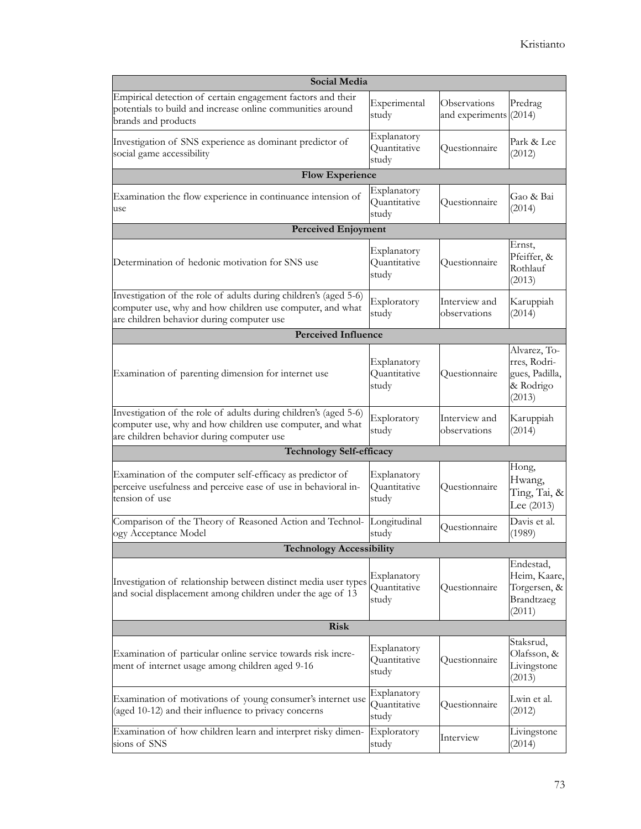| <b>Social Media</b>                                                                                                                                                        |                                      |                                        |                                                                       |  |  |  |  |
|----------------------------------------------------------------------------------------------------------------------------------------------------------------------------|--------------------------------------|----------------------------------------|-----------------------------------------------------------------------|--|--|--|--|
| Empirical detection of certain engagement factors and their<br>potentials to build and increase online communities around<br>brands and products                           | Experimental<br>study                | Observations<br>and experiments (2014) | Predrag                                                               |  |  |  |  |
| Investigation of SNS experience as dominant predictor of<br>social game accessibility                                                                                      | Explanatory<br>Quantitative<br>study | Questionnaire                          | Park & Lee<br>(2012)                                                  |  |  |  |  |
| <b>Flow Experience</b>                                                                                                                                                     |                                      |                                        |                                                                       |  |  |  |  |
| Examination the flow experience in continuance intension of<br>use                                                                                                         | Explanatory<br>Quantitative<br>study | Questionnaire                          | Gao & Bai<br>(2014)                                                   |  |  |  |  |
| <b>Perceived Enjoyment</b>                                                                                                                                                 |                                      |                                        |                                                                       |  |  |  |  |
| Determination of hedonic motivation for SNS use                                                                                                                            | Explanatory<br>Quantitative<br>study | Questionnaire                          | Ernst,<br>Pfeiffer, &<br>Rothlauf<br>(2013)                           |  |  |  |  |
| Investigation of the role of adults during children's (aged 5-6)<br>computer use, why and how children use computer, and what<br>are children behavior during computer use | Exploratory<br>study                 | Interview and<br>observations          | Karuppiah<br>(2014)                                                   |  |  |  |  |
| <b>Perceived Influence</b>                                                                                                                                                 |                                      |                                        |                                                                       |  |  |  |  |
| Examination of parenting dimension for internet use                                                                                                                        | Explanatory<br>Quantitative<br>study | Questionnaire                          | Alvarez, To-<br>rres, Rodri-<br>gues, Padilla,<br>& Rodrigo<br>(2013) |  |  |  |  |
| Investigation of the role of adults during children's (aged 5-6)<br>computer use, why and how children use computer, and what<br>are children behavior during computer use | Exploratory<br>study                 | Interview and<br>observations          | Karuppiah<br>(2014)                                                   |  |  |  |  |
| <b>Technology Self-efficacy</b>                                                                                                                                            |                                      |                                        |                                                                       |  |  |  |  |
| Examination of the computer self-efficacy as predictor of<br>perceive usefulness and perceive ease of use in behavioral in-<br>tension of use                              | Explanatory<br>Quantitative<br>study | Questionnaire                          | Hong,<br>Hwang,<br>Ting, Tai, &<br>Lee $(2013)$                       |  |  |  |  |
| Comparison of the Theory of Reasoned Action and Technol-<br>ogy Acceptance Model                                                                                           | Longitudinal<br>study                | Questionnaire                          | Davis et al.<br>(1989)                                                |  |  |  |  |
| <b>Technology Accessibility</b>                                                                                                                                            |                                      |                                        |                                                                       |  |  |  |  |
| Investigation of relationship between distinct media user types<br>and social displacement among children under the age of 13                                              | Explanatory<br>Quantitative<br>study | Questionnaire                          | Endestad,<br>Heim, Kaare,<br>Torgersen, &<br>Brandtzaeg<br>(2011)     |  |  |  |  |
| <b>Risk</b>                                                                                                                                                                |                                      |                                        |                                                                       |  |  |  |  |
| Examination of particular online service towards risk incre-<br>ment of internet usage among children aged 9-16                                                            | Explanatory<br>Quantitative<br>study | Questionnaire                          | Staksrud,<br>Olafsson, &<br>Livingstone<br>(2013)                     |  |  |  |  |
| Examination of motivations of young consumer's internet use<br>(aged 10-12) and their influence to privacy concerns                                                        | Explanatory<br>Quantitative<br>study | Questionnaire                          | Lwin et al.<br>(2012)                                                 |  |  |  |  |
| Examination of how children learn and interpret risky dimen-<br>sions of SNS                                                                                               | Exploratory<br>study                 | Interview                              | Livingstone<br>(2014)                                                 |  |  |  |  |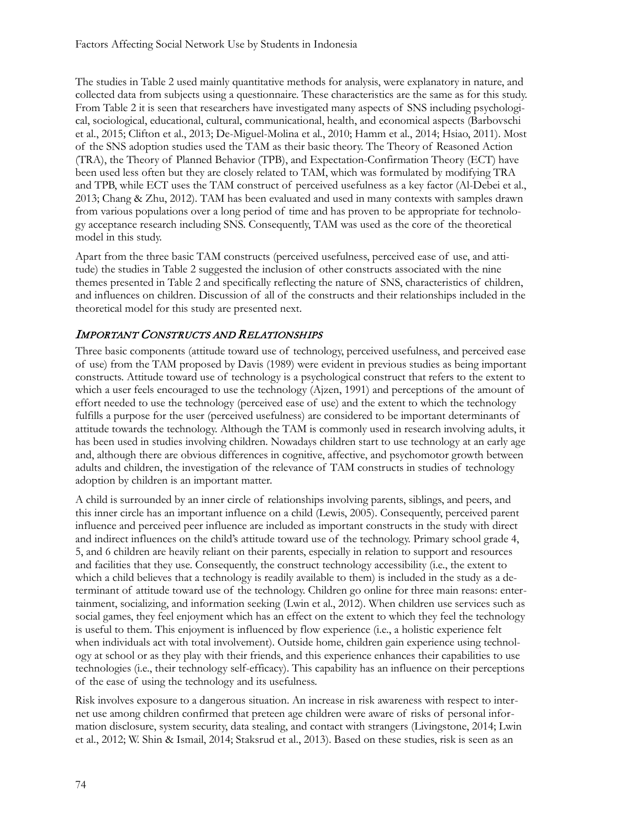The studies in Table 2 used mainly quantitative methods for analysis, were explanatory in nature, and collected data from subjects using a questionnaire. These characteristics are the same as for this study. From Table 2 it is seen that researchers have investigated many aspects of SNS including psychological, sociological, educational, cultural, communicational, health, and economical aspects (Barbovschi et al., 2015; Clifton et al., 2013; De-Miguel-Molina et al., 2010; Hamm et al., 2014; Hsiao, 2011). Most of the SNS adoption studies used the TAM as their basic theory. The Theory of Reasoned Action (TRA), the Theory of Planned Behavior (TPB), and Expectation-Confirmation Theory (ECT) have been used less often but they are closely related to TAM, which was formulated by modifying TRA and TPB, while ECT uses the TAM construct of perceived usefulness as a key factor (Al-Debei et al., 2013; Chang & Zhu, 2012). TAM has been evaluated and used in many contexts with samples drawn from various populations over a long period of time and has proven to be appropriate for technology acceptance research including SNS. Consequently, TAM was used as the core of the theoretical model in this study.

Apart from the three basic TAM constructs (perceived usefulness, perceived ease of use, and attitude) the studies in Table 2 suggested the inclusion of other constructs associated with the nine themes presented in Table 2 and specifically reflecting the nature of SNS, characteristics of children, and influences on children. Discussion of all of the constructs and their relationships included in the theoretical model for this study are presented next.

## IMPORTANT CONSTRUCTS AND RELATIONSHIPS

Three basic components (attitude toward use of technology, perceived usefulness, and perceived ease of use) from the TAM proposed by Davis (1989) were evident in previous studies as being important constructs. Attitude toward use of technology is a psychological construct that refers to the extent to which a user feels encouraged to use the technology (Ajzen, 1991) and perceptions of the amount of effort needed to use the technology (perceived ease of use) and the extent to which the technology fulfills a purpose for the user (perceived usefulness) are considered to be important determinants of attitude towards the technology. Although the TAM is commonly used in research involving adults, it has been used in studies involving children. Nowadays children start to use technology at an early age and, although there are obvious differences in cognitive, affective, and psychomotor growth between adults and children, the investigation of the relevance of TAM constructs in studies of technology adoption by children is an important matter.

A child is surrounded by an inner circle of relationships involving parents, siblings, and peers, and this inner circle has an important influence on a child (Lewis, 2005). Consequently, perceived parent influence and perceived peer influence are included as important constructs in the study with direct and indirect influences on the child's attitude toward use of the technology. Primary school grade 4, 5, and 6 children are heavily reliant on their parents, especially in relation to support and resources and facilities that they use. Consequently, the construct technology accessibility (i.e., the extent to which a child believes that a technology is readily available to them) is included in the study as a determinant of attitude toward use of the technology. Children go online for three main reasons: entertainment, socializing, and information seeking (Lwin et al., 2012). When children use services such as social games, they feel enjoyment which has an effect on the extent to which they feel the technology is useful to them. This enjoyment is influenced by flow experience (i.e., a holistic experience felt when individuals act with total involvement). Outside home, children gain experience using technology at school or as they play with their friends, and this experience enhances their capabilities to use technologies (i.e., their technology self-efficacy). This capability has an influence on their perceptions of the ease of using the technology and its usefulness.

Risk involves exposure to a dangerous situation. An increase in risk awareness with respect to internet use among children confirmed that preteen age children were aware of risks of personal information disclosure, system security, data stealing, and contact with strangers (Livingstone, 2014; Lwin et al., 2012; W. Shin & Ismail, 2014; Staksrud et al., 2013). Based on these studies, risk is seen as an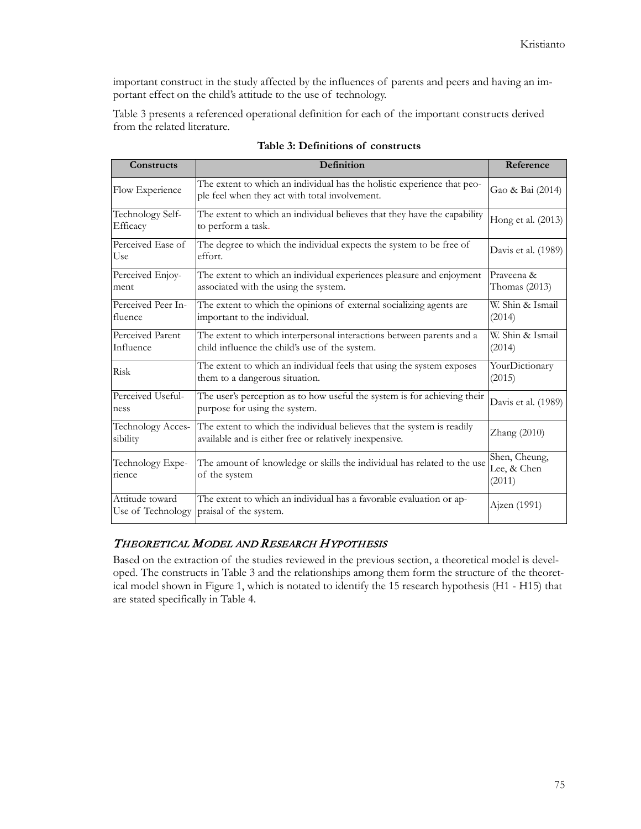important construct in the study affected by the influences of parents and peers and having an important effect on the child's attitude to the use of technology.

Table 3 presents a referenced operational definition for each of the important constructs derived from the related literature.

| Constructs                           | <b>Definition</b>                                                                                                                 | Reference                              |
|--------------------------------------|-----------------------------------------------------------------------------------------------------------------------------------|----------------------------------------|
| Flow Experience                      | The extent to which an individual has the holistic experience that peo-<br>ple feel when they act with total involvement.         | Gao & Bai (2014)                       |
| Technology Self-<br>Efficacy         | The extent to which an individual believes that they have the capability<br>to perform a task.                                    | Hong et al. (2013)                     |
| Perceived Ease of<br>Use             | The degree to which the individual expects the system to be free of<br>effort.                                                    | Davis et al. (1989)                    |
| Perceived Enjoy-<br>ment             | The extent to which an individual experiences pleasure and enjoyment<br>associated with the using the system.                     | Prayeena &<br>Thomas $(2013)$          |
| Perceived Peer In-<br>fluence        | The extent to which the opinions of external socializing agents are<br>important to the individual.                               | W. Shin & Ismail<br>(2014)             |
| Perceived Parent<br>Influence        | The extent to which interpersonal interactions between parents and a<br>child influence the child's use of the system.            | W. Shin & Ismail<br>(2014)             |
| Risk                                 | The extent to which an individual feels that using the system exposes<br>them to a dangerous situation.                           | YourDictionary<br>(2015)               |
| Perceived Useful-<br>ness            | The user's perception as to how useful the system is for achieving their<br>purpose for using the system.                         | Davis et al. (1989)                    |
| Technology Acces-<br>sibility        | The extent to which the individual believes that the system is readily<br>available and is either free or relatively inexpensive. | Zhang (2010)                           |
| Technology Expe-<br>rience           | The amount of knowledge or skills the individual has related to the use<br>of the system                                          | Shen, Cheung,<br>Lee, & Chen<br>(2011) |
| Attitude toward<br>Use of Technology | The extent to which an individual has a favorable evaluation or ap-<br>praisal of the system.                                     | Ajzen (1991)                           |

| Table 3: Definitions of constructs |  |  |
|------------------------------------|--|--|
|------------------------------------|--|--|

#### THEORETICAL MODEL AND RESEARCH HYPOTHESIS

Based on the extraction of the studies reviewed in the previous section, a theoretical model is developed. The constructs in Table 3 and the relationships among them form the structure of the theoretical model shown in Figure 1, which is notated to identify the 15 research hypothesis (H1 - H15) that are stated specifically in Table 4.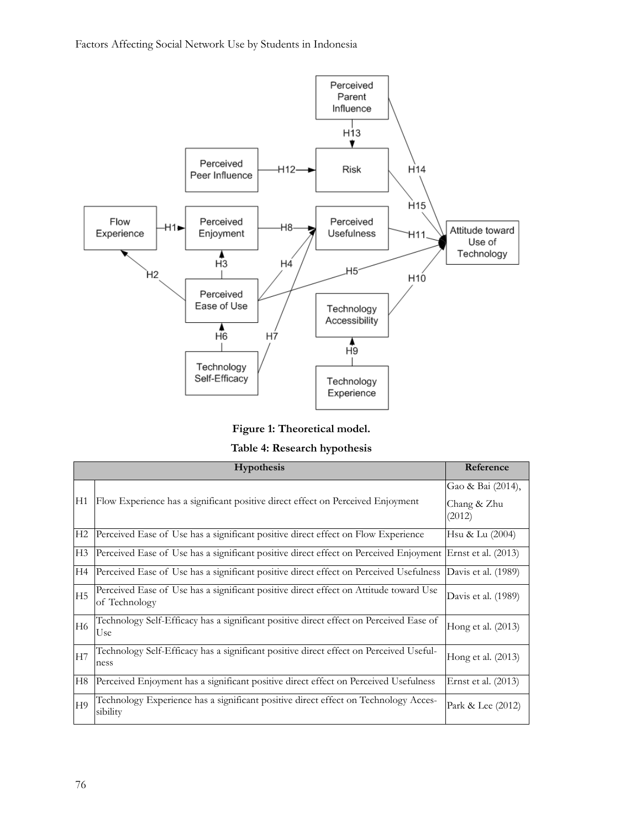

**Figure 1: Theoretical model.**

**Table 4: Research hypothesis**

|                | <b>Hypothesis</b>                                                                                         | Reference                                  |
|----------------|-----------------------------------------------------------------------------------------------------------|--------------------------------------------|
| H1             | Flow Experience has a significant positive direct effect on Perceived Enjoyment                           | Gao & Bai (2014),<br>Chang & Zhu<br>(2012) |
| H <sub>2</sub> | Perceived Ease of Use has a significant positive direct effect on Flow Experience                         | Hsu & Lu (2004)                            |
| H <sub>3</sub> | Perceived Ease of Use has a significant positive direct effect on Perceived Enjoyment Ernst et al. (2013) |                                            |
| H <sub>4</sub> | Perceived Ease of Use has a significant positive direct effect on Perceived Usefulness                    | Davis et al. (1989)                        |
| H <sub>5</sub> | Perceived Ease of Use has a significant positive direct effect on Attitude toward Use<br>of Technology    | Davis et al. (1989)                        |
| H <sub>6</sub> | Technology Self-Efficacy has a significant positive direct effect on Perceived Ease of<br>Use             | Hong et al. $(2013)$                       |
| H <sub>7</sub> | Technology Self-Efficacy has a significant positive direct effect on Perceived Useful-<br>ness            | Hong et al. (2013)                         |
| H8             | Perceived Enjoyment has a significant positive direct effect on Perceived Usefulness                      | Ernst et al. $(2013)$                      |
| H <sub>9</sub> | Technology Experience has a significant positive direct effect on Technology Acces-<br>sibility           | Park & Lee (2012)                          |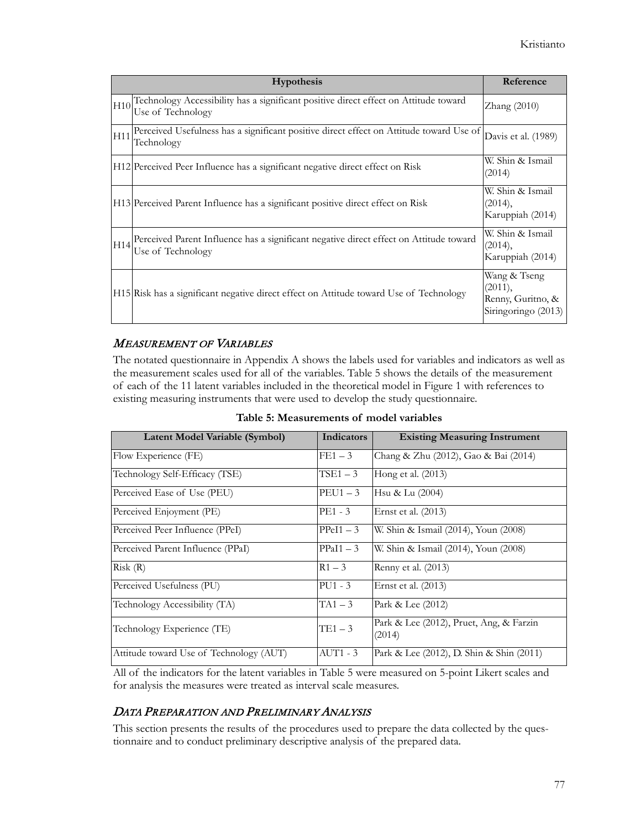|     | <b>Hypothesis</b>                                                                                           | Reference                                                           |
|-----|-------------------------------------------------------------------------------------------------------------|---------------------------------------------------------------------|
| H10 | Technology Accessibility has a significant positive direct effect on Attitude toward<br>Use of Technology   | $\text{Zhang}$ (2010)                                               |
| H11 | Perceived Usefulness has a significant positive direct effect on Attitude toward Use of<br>Technology       | Davis et al. (1989)                                                 |
|     | H12 Perceived Peer Influence has a significant negative direct effect on Risk                               | W. Shin & Ismail<br>(2014)                                          |
|     | H13 Perceived Parent Influence has a significant positive direct effect on Risk                             | W. Shin & Ismail<br>(2014),<br>Karuppiah (2014)                     |
| H14 | Perceived Parent Influence has a significant negative direct effect on Attitude toward<br>Use of Technology | W. Shin & Ismail<br>(2014),<br>Karuppiah (2014)                     |
|     | H15 Risk has a significant negative direct effect on Attitude toward Use of Technology                      | Wang & Tseng<br>(2011),<br>Renny, Guritno, &<br>Siringoringo (2013) |

## MEASUREMENT OF VARIABLES

The notated questionnaire in Appendix A shows the labels used for variables and indicators as well as the measurement scales used for all of the variables. Table 5 shows the details of the measurement of each of the 11 latent variables included in the theoretical model in Figure 1 with references to existing measuring instruments that were used to develop the study questionnaire.

| Latent Model Variable (Symbol)          | Indicators  | <b>Existing Measuring Instrument</b>              |
|-----------------------------------------|-------------|---------------------------------------------------|
| Flow Experience (FE)                    | $FE1-3$     | Chang & Zhu (2012), Gao & Bai (2014)              |
| Technology Self-Efficacy (TSE)          | $TSE1-3$    | Hong et al. (2013)                                |
| Perceived Ease of Use (PEU)             | $PEU1 - 3$  | Hsu & Lu (2004)                                   |
| Perceived Enjoyment (PE)                | $PE1 - 3$   | Ernst et al. (2013)                               |
| Perceived Peer Influence (PPeI)         | $PPeI1 - 3$ | W. Shin & Ismail (2014), Youn (2008)              |
| Perceived Parent Influence (PPaI)       | $PPaI1 - 3$ | W. Shin & Ismail (2014), Youn (2008)              |
| Risk(R)                                 | $R1 - 3$    | Renny et al. (2013)                               |
| Perceived Usefulness (PU)               | $PU1 - 3$   | Ernst et al. (2013)                               |
| Technology Accessibility (TA)           | $TA1-3$     | Park & Lee $(2012)$                               |
| Technology Experience (TE)              | $TE1-3$     | Park & Lee (2012), Pruet, Ang, & Farzin<br>(2014) |
| Attitude toward Use of Technology (AUT) | $AUT1 - 3$  | Park & Lee (2012), D. Shin & Shin (2011)          |

**Table 5: Measurements of model variables**

All of the indicators for the latent variables in Table 5 were measured on 5-point Likert scales and for analysis the measures were treated as interval scale measures.

#### DATA PREPARATION AND PRELIMINARY ANALYSIS

This section presents the results of the procedures used to prepare the data collected by the questionnaire and to conduct preliminary descriptive analysis of the prepared data.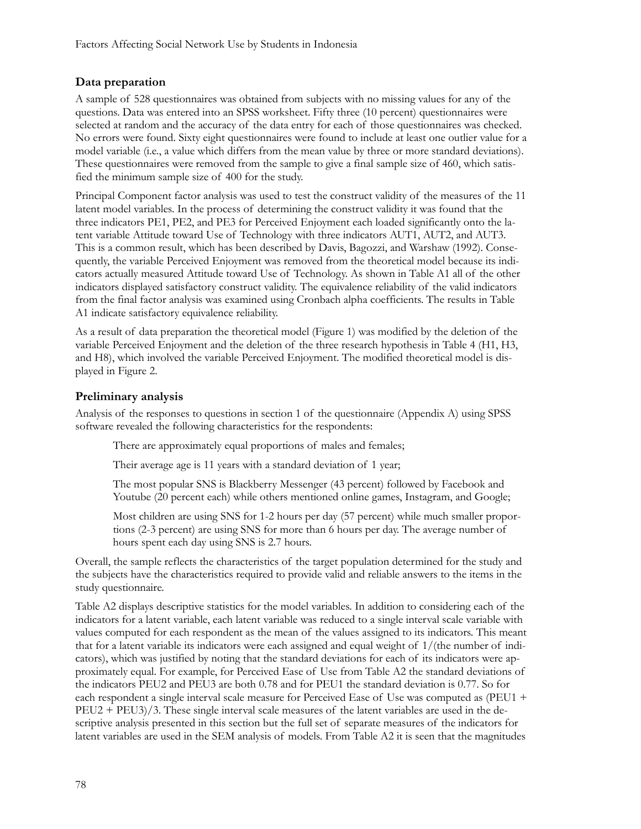#### **Data preparation**

A sample of 528 questionnaires was obtained from subjects with no missing values for any of the questions. Data was entered into an SPSS worksheet. Fifty three (10 percent) questionnaires were selected at random and the accuracy of the data entry for each of those questionnaires was checked. No errors were found. Sixty eight questionnaires were found to include at least one outlier value for a model variable (i.e., a value which differs from the mean value by three or more standard deviations). These questionnaires were removed from the sample to give a final sample size of 460, which satisfied the minimum sample size of 400 for the study.

Principal Component factor analysis was used to test the construct validity of the measures of the 11 latent model variables. In the process of determining the construct validity it was found that the three indicators PE1, PE2, and PE3 for Perceived Enjoyment each loaded significantly onto the latent variable Attitude toward Use of Technology with three indicators AUT1, AUT2, and AUT3. This is a common result, which has been described by Davis, Bagozzi, and Warshaw (1992). Consequently, the variable Perceived Enjoyment was removed from the theoretical model because its indicators actually measured Attitude toward Use of Technology. As shown in Table A1 all of the other indicators displayed satisfactory construct validity. The equivalence reliability of the valid indicators from the final factor analysis was examined using Cronbach alpha coefficients. The results in Table A1 indicate satisfactory equivalence reliability.

As a result of data preparation the theoretical model (Figure 1) was modified by the deletion of the variable Perceived Enjoyment and the deletion of the three research hypothesis in Table 4 (H1, H3, and H8), which involved the variable Perceived Enjoyment. The modified theoretical model is displayed in Figure 2.

#### **Preliminary analysis**

Analysis of the responses to questions in section 1 of the questionnaire (Appendix A) using SPSS software revealed the following characteristics for the respondents:

There are approximately equal proportions of males and females;

Their average age is 11 years with a standard deviation of 1 year;

The most popular SNS is Blackberry Messenger (43 percent) followed by Facebook and Youtube (20 percent each) while others mentioned online games, Instagram, and Google;

Most children are using SNS for 1-2 hours per day (57 percent) while much smaller proportions (2-3 percent) are using SNS for more than 6 hours per day. The average number of hours spent each day using SNS is 2.7 hours.

Overall, the sample reflects the characteristics of the target population determined for the study and the subjects have the characteristics required to provide valid and reliable answers to the items in the study questionnaire.

Table A2 displays descriptive statistics for the model variables. In addition to considering each of the indicators for a latent variable, each latent variable was reduced to a single interval scale variable with values computed for each respondent as the mean of the values assigned to its indicators. This meant that for a latent variable its indicators were each assigned and equal weight of 1/(the number of indicators), which was justified by noting that the standard deviations for each of its indicators were approximately equal. For example, for Perceived Ease of Use from Table A2 the standard deviations of the indicators PEU2 and PEU3 are both 0.78 and for PEU1 the standard deviation is 0.77. So for each respondent a single interval scale measure for Perceived Ease of Use was computed as (PEU1 + PEU2 + PEU3)/3. These single interval scale measures of the latent variables are used in the descriptive analysis presented in this section but the full set of separate measures of the indicators for latent variables are used in the SEM analysis of models. From Table A2 it is seen that the magnitudes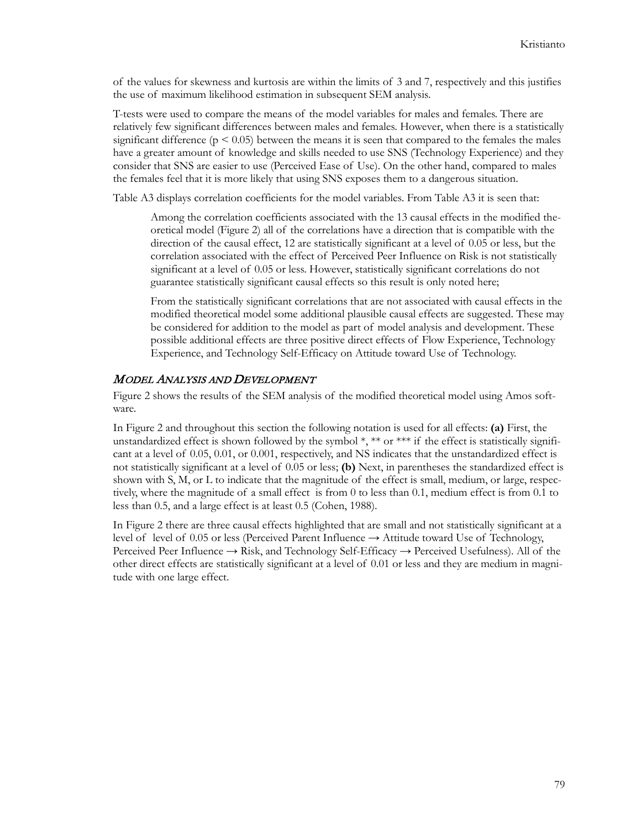of the values for skewness and kurtosis are within the limits of 3 and 7, respectively and this justifies the use of maximum likelihood estimation in subsequent SEM analysis.

T-tests were used to compare the means of the model variables for males and females. There are relatively few significant differences between males and females. However, when there is a statistically significant difference ( $p \le 0.05$ ) between the means it is seen that compared to the females the males have a greater amount of knowledge and skills needed to use SNS (Technology Experience) and they consider that SNS are easier to use (Perceived Ease of Use). On the other hand, compared to males the females feel that it is more likely that using SNS exposes them to a dangerous situation.

Table A3 displays correlation coefficients for the model variables. From Table A3 it is seen that:

Among the correlation coefficients associated with the 13 causal effects in the modified theoretical model (Figure 2) all of the correlations have a direction that is compatible with the direction of the causal effect, 12 are statistically significant at a level of 0.05 or less, but the correlation associated with the effect of Perceived Peer Influence on Risk is not statistically significant at a level of 0.05 or less. However, statistically significant correlations do not guarantee statistically significant causal effects so this result is only noted here;

From the statistically significant correlations that are not associated with causal effects in the modified theoretical model some additional plausible causal effects are suggested. These may be considered for addition to the model as part of model analysis and development. These possible additional effects are three positive direct effects of Flow Experience, Technology Experience, and Technology Self-Efficacy on Attitude toward Use of Technology.

#### MODEL ANALYSIS AND DEVELOPMENT

Figure 2 shows the results of the SEM analysis of the modified theoretical model using Amos software.

In Figure 2 and throughout this section the following notation is used for all effects: **(a)** First, the unstandardized effect is shown followed by the symbol  $\ast, \ast, \text{or } \ast \ast, \text{if the effect is statistically significant.}$ cant at a level of 0.05, 0.01, or 0.001, respectively, and NS indicates that the unstandardized effect is not statistically significant at a level of 0.05 or less; **(b)** Next, in parentheses the standardized effect is shown with S, M, or L to indicate that the magnitude of the effect is small, medium, or large, respectively, where the magnitude of a small effect is from 0 to less than 0.1, medium effect is from 0.1 to less than 0.5, and a large effect is at least 0.5 (Cohen, 1988).

In Figure 2 there are three causal effects highlighted that are small and not statistically significant at a level of level of 0.05 or less (Perceived Parent Influence  $\rightarrow$  Attitude toward Use of Technology, Perceived Peer Influence → Risk, and Technology Self-Efficacy → Perceived Usefulness). All of the other direct effects are statistically significant at a level of 0.01 or less and they are medium in magnitude with one large effect.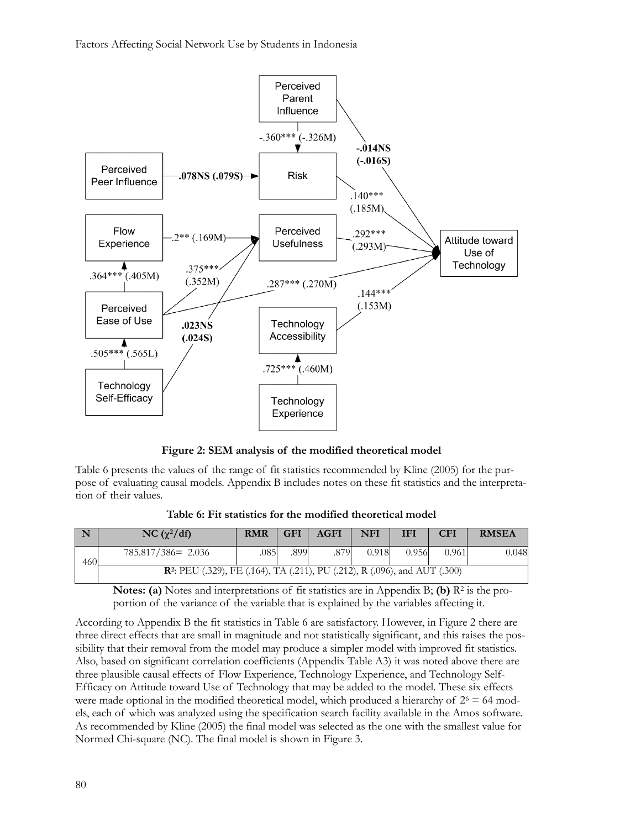

**Figure 2: SEM analysis of the modified theoretical model**

Table 6 presents the values of the range of fit statistics recommended by Kline (2005) for the purpose of evaluating causal models. Appendix B includes notes on these fit statistics and the interpretation of their values.

**Table 6: Fit statistics for the modified theoretical model**

| $\sqrt{N}$ | NC $(\chi^2/df)$                                                                              | <b>RMR</b> | <b>GFI</b> | <b>AGFI</b> | <b>NFI</b> | <b>IFI</b> | CFI   | <b>RMSEA</b> |
|------------|-----------------------------------------------------------------------------------------------|------------|------------|-------------|------------|------------|-------|--------------|
| 460        | $785.817/386 = 2.036$                                                                         | .085       | .899       | .879        | 0.918      | 0.956      | 0.961 | 0.048        |
|            | <b>R</b> <sup>2</sup> : PEU (.329), FE (.164), TA (.211), PU (.212), R (.096), and AUT (.300) |            |            |             |            |            |       |              |

**Notes: (a)** Notes and interpretations of fit statistics are in Appendix B; **(b)**  $\mathbb{R}^2$  is the proportion of the variance of the variable that is explained by the variables affecting it.

According to Appendix B the fit statistics in Table 6 are satisfactory. However, in Figure 2 there are three direct effects that are small in magnitude and not statistically significant, and this raises the possibility that their removal from the model may produce a simpler model with improved fit statistics. Also, based on significant correlation coefficients (Appendix Table A3) it was noted above there are three plausible causal effects of Flow Experience, Technology Experience, and Technology Self-Efficacy on Attitude toward Use of Technology that may be added to the model. These six effects were made optional in the modified theoretical model, which produced a hierarchy of  $2<sup>6</sup> = 64$  models, each of which was analyzed using the specification search facility available in the Amos software. As recommended by Kline (2005) the final model was selected as the one with the smallest value for Normed Chi-square (NC). The final model is shown in Figure 3.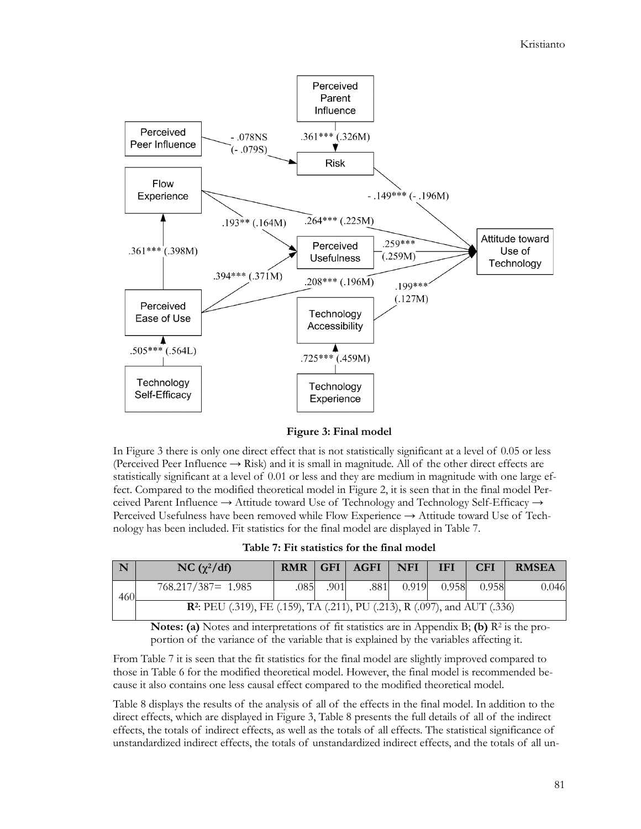

**Figure 3: Final model**

In Figure 3 there is only one direct effect that is not statistically significant at a level of 0.05 or less (Perceived Peer Influence  $\rightarrow$  Risk) and it is small in magnitude. All of the other direct effects are statistically significant at a level of 0.01 or less and they are medium in magnitude with one large effect. Compared to the modified theoretical model in Figure 2, it is seen that in the final model Perceived Parent Influence → Attitude toward Use of Technology and Technology Self-Efficacy → Perceived Usefulness have been removed while Flow Experience → Attitude toward Use of Technology has been included. Fit statistics for the final model are displayed in Table 7.

**Table 7: Fit statistics for the final model**

| $\overline{\mathbf{N}}$                                                                       | NC $(\chi^2/df)$      |      |      | RMR   GFI   AGFI | NFI | <b>IFI</b>      | <b>CFI</b> | <b>RMSEA</b> |
|-----------------------------------------------------------------------------------------------|-----------------------|------|------|------------------|-----|-----------------|------------|--------------|
| 460                                                                                           | $768.217/387 = 1.985$ | .085 | .901 | .881             |     | $0.919$ $0.958$ | 0.958      | 0.046        |
| <b>R</b> <sup>2</sup> : PEU (.319), FE (.159), TA (.211), PU (.213), R (.097), and AUT (.336) |                       |      |      |                  |     |                 |            |              |

**Notes: (a)** Notes and interpretations of fit statistics are in Appendix B; **(b)**  $R^2$  is the proportion of the variance of the variable that is explained by the variables affecting it.

From Table 7 it is seen that the fit statistics for the final model are slightly improved compared to those in Table 6 for the modified theoretical model. However, the final model is recommended because it also contains one less causal effect compared to the modified theoretical model.

Table 8 displays the results of the analysis of all of the effects in the final model. In addition to the direct effects, which are displayed in Figure 3, Table 8 presents the full details of all of the indirect effects, the totals of indirect effects, as well as the totals of all effects. The statistical significance of unstandardized indirect effects, the totals of unstandardized indirect effects, and the totals of all un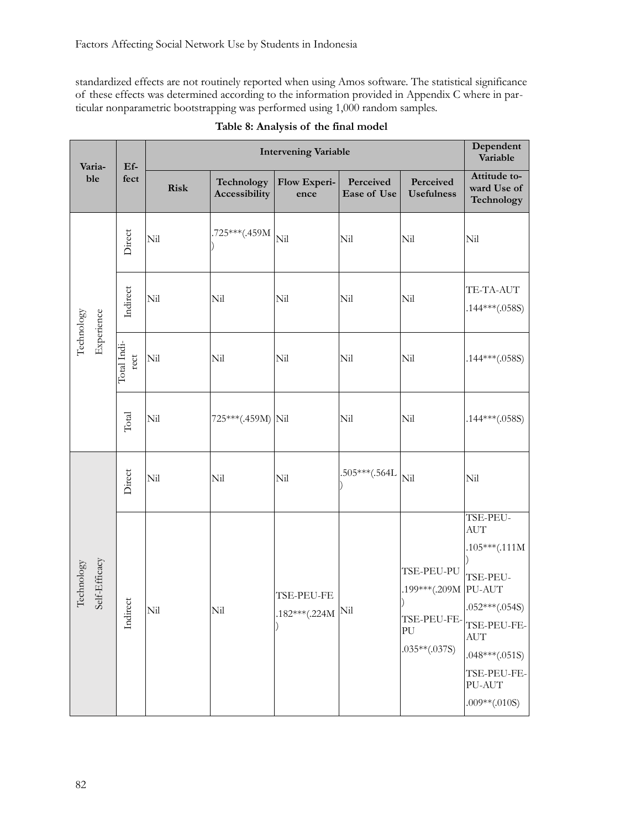standardized effects are not routinely reported when using Amos software. The statistical significance of these effects was determined according to the information provided in Appendix C where in particular nonparametric bootstrapping was performed using 1,000 random samples.

| Varia-<br>ble               |  | $\mathbf{E} \mathbf{f}$ - |             | Dependent<br>Variable       |                                               |                                 |                                                                                    |                                                                                                                                                                         |
|-----------------------------|--|---------------------------|-------------|-----------------------------|-----------------------------------------------|---------------------------------|------------------------------------------------------------------------------------|-------------------------------------------------------------------------------------------------------------------------------------------------------------------------|
|                             |  | fect                      | <b>Risk</b> | Technology<br>Accessibility | Flow Experi-<br>ence                          | Perceived<br><b>Ease of Use</b> | Perceived<br><b>Usefulness</b>                                                     | Attitude to-<br>ward Use of<br>Technology                                                                                                                               |
|                             |  | Direct                    | Nil         | .725***(.459M               | Nil                                           | Nil                             | Nil                                                                                | Nil                                                                                                                                                                     |
| Experience                  |  | Indirect                  | Nil         | Nil                         | Nil                                           | Nil                             | Nil                                                                                | TE-TA-AUT<br>$.144***(.058S)$                                                                                                                                           |
| Technology                  |  | Total Indi-<br>rect       | Nil         | Nil                         | Nil                                           | Nil                             | Nil                                                                                | $.144***(.058S)$                                                                                                                                                        |
|                             |  | Total                     | Nil         | 725***(.459M) Nil           |                                               | Nil                             | Nil                                                                                | $.144***(.058S)$                                                                                                                                                        |
|                             |  | Direct                    | Nil         | Nil                         | Nil                                           | $.505***(.564L)$                | Nil                                                                                | Nil                                                                                                                                                                     |
| Self-Efficacy<br>Technology |  | Indirect                  | Nil         | Nil                         | TSE-PEU-FE<br>$.182***(.224M)$ <sup>Nil</sup> |                                 | TSE-PEU-PU<br>.199***(.209M PU-AUT<br>TSE-PEU-FE-<br>${\rm PU}$<br>$.035**(.037S)$ | TSE-PEU-<br><b>AUT</b><br>$.105***(.111M)$<br>TSE-PEU-<br>$.052***(.054S)$<br>TSE-PEU-FE-<br><b>AUT</b><br>$.048***(.051S)$<br>TSE-PEU-FE-<br>PU-AUT<br>$.009**(.010S)$ |

| Table 8: Analysis of the final model |  |  |  |
|--------------------------------------|--|--|--|
|--------------------------------------|--|--|--|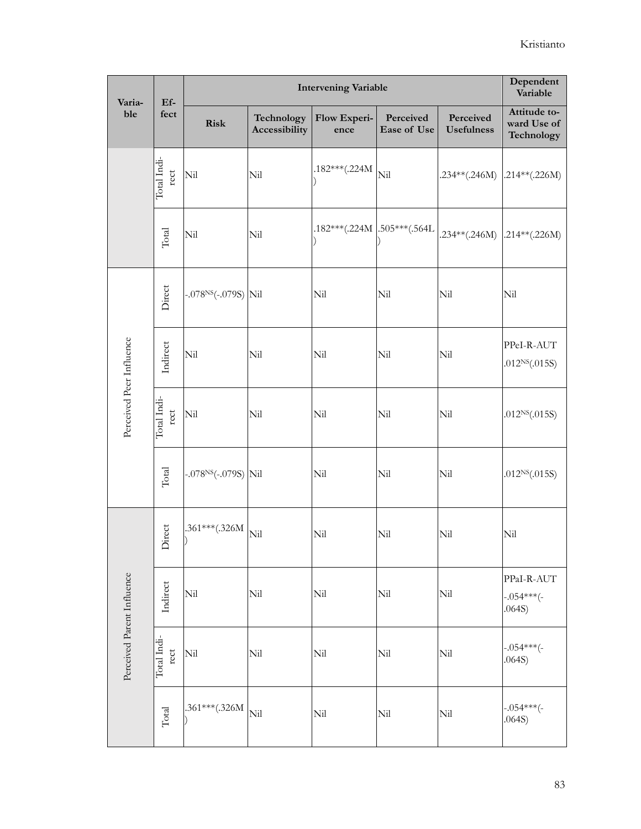| Varia-                     | <b>Intervening Variable</b><br>$Ef-$ |                          |                             |                             |                          |                                | Dependent<br>Variable                     |
|----------------------------|--------------------------------------|--------------------------|-----------------------------|-----------------------------|--------------------------|--------------------------------|-------------------------------------------|
| ble                        | fect                                 | <b>Risk</b>              | Technology<br>Accessibility | Flow Experi-<br>ence        | Perceived<br>Ease of Use | Perceived<br><b>Usefulness</b> | Attitude to-<br>ward Use of<br>Technology |
|                            | Total Indi-<br>rect                  | Nil                      | Nil                         | $.182***(.224M)$            | Nil                      | $.234**(.246M)$                | $.214**(.226M)$                           |
|                            | Total                                | Nil                      | Nil                         | .182***(.224M .505***(.564L |                          | .234**(.246M) .214**(.226M)    |                                           |
|                            | Direct                               | $-.078^{NS}(-.079S)$ Nil |                             | Nil                         | Nil                      | Nil                            | Nil                                       |
| Perceived Peer Influence   | Indirect                             | Nil                      | Nil                         | Nil                         | Nil                      | Nil                            | PPeI-R-AUT<br>.012 $NS(.015S)$            |
|                            | Total Indi-<br>rect                  | Nil                      | Nil                         | Nil                         | Nil                      | Nil                            | .012 $NS(.015S)$                          |
|                            | Total                                | $-.078^{NS}(-.079S)$ Nil |                             | Nil                         | Nil                      | Nil                            | .012 $NS(.015S)$                          |
|                            | Direct                               | .361***(.326M            | Nil                         | Nil                         | Nil                      | Nil                            | Nil                                       |
| Perceived Parent Influence | Indirect                             | Nil                      | Nil                         | Nil                         | Nil                      | Nil                            | PPaI-R-AUT<br>$-.054***(-$<br>.064S)      |
|                            | Total Indi-<br>rect                  | Nil                      | Ni <sup>1</sup>             | Nil                         | Nil                      | Nil                            | $-.054***(-$<br>.064S)                    |
|                            | $\rm Total$                          | .361***(.326M            | Nil                         | Nil                         | Nil                      | Nil                            | $-.054***(-$<br>.064S)                    |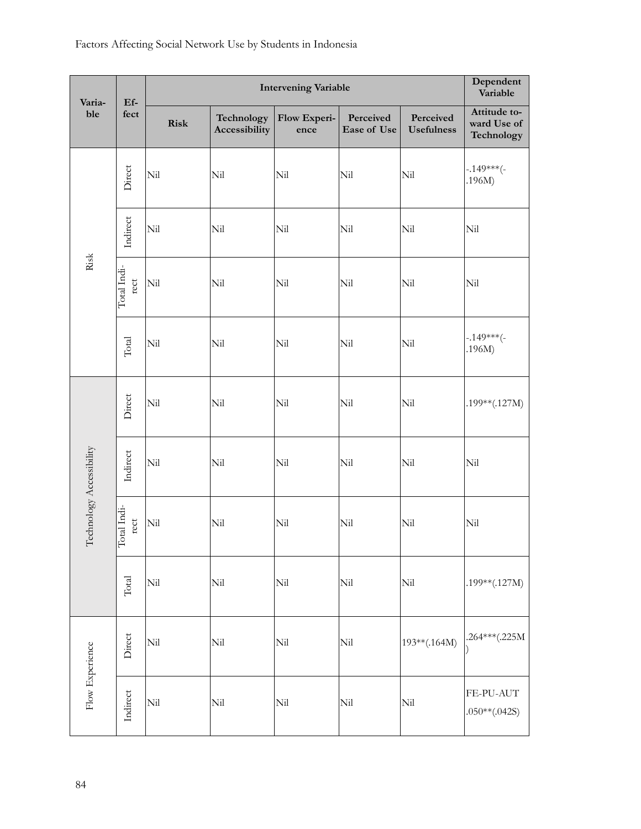| Varia-                   | $Ef-$                   | <b>Intervening Variable</b> |                             |                      |                          |                                | Dependent<br>Variable                     |
|--------------------------|-------------------------|-----------------------------|-----------------------------|----------------------|--------------------------|--------------------------------|-------------------------------------------|
| ble                      | fect                    | Risk                        | Technology<br>Accessibility | Flow Experi-<br>ence | Perceived<br>Ease of Use | Perceived<br><b>Usefulness</b> | Attitude to-<br>ward Use of<br>Technology |
|                          | Direct                  | Nil                         | Nil                         | Nil                  | Nil                      | Nil                            | $-.149***(-$<br>.196M)                    |
|                          | Indirect                | Nil                         | Nil                         | Nil                  | Nil                      | Nil                            | Nil                                       |
| Risk                     | Total Indi-<br>rect     | Nil                         | Nil                         | Nil                  | Nil                      | Nil                            | Nil                                       |
|                          | $\rm Total$             | Nil                         | Nil                         | Nil                  | Nil                      | Nil                            | $-.149***(-$<br>.196M)                    |
|                          | Direct                  | Nil                         | Nil                         | Nil                  | Nil                      | Nil                            | $.199**(.127M)$                           |
|                          | Indirect                | Nil                         | Nil                         | Nil                  | Nil                      | Ni <sub>l</sub>                | Nil                                       |
| Technology Accessibility | otal Indi-<br>rect<br>┍ | Nil                         | Nil                         | Nil                  | Nil                      | Nil                            | Nil                                       |
|                          | $\rm Total$             | Nil                         | Nil                         | Nil                  | $\rm{Nil}$               | Nil                            | $.199**(.127M)$                           |
|                          | Direct                  | Nil                         | Nil                         | $\rm{Nil}$           | Nil                      | 193**(.164M)                   | .264***(.225M                             |
| Flow Experience          | Indirect                | $\rm{Nil}$                  | $_{\rm Nil}$                | $\rm{Nil}$           | $\rm{Nil}$               | $\rm {Nil}$                    | FE-PU-AUT<br>$.050**(.042S)$              |

## Factors Affecting Social Network Use by Students in Indonesia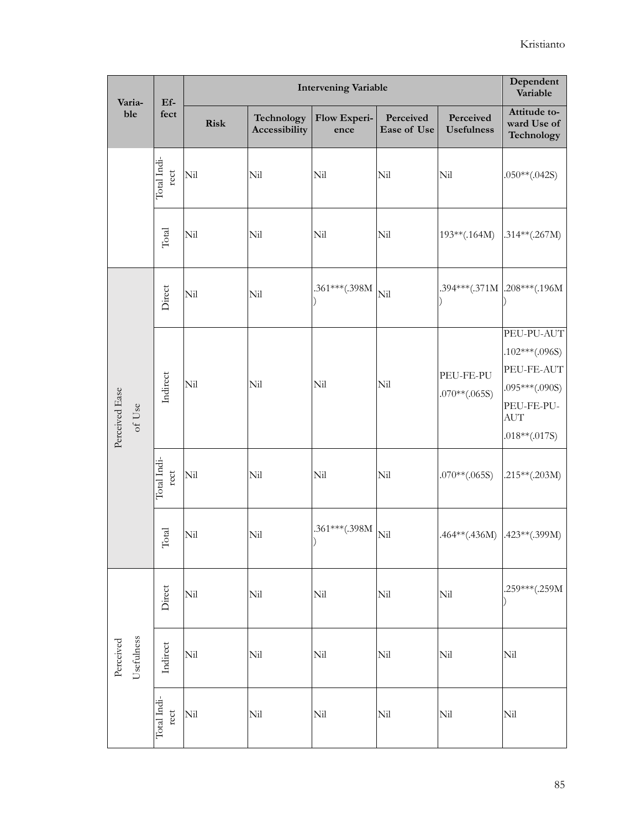| Varia-                   | $Ef-$                  |             |                             | <b>Intervening Variable</b> | Dependent<br>Variable    |                                |                                                                                                               |
|--------------------------|------------------------|-------------|-----------------------------|-----------------------------|--------------------------|--------------------------------|---------------------------------------------------------------------------------------------------------------|
| ble                      | fect                   | <b>Risk</b> | Technology<br>Accessibility | Flow Experi-<br>ence        | Perceived<br>Ease of Use | Perceived<br><b>Usefulness</b> | Attitude to-<br>ward Use of<br>Technology                                                                     |
|                          | Total Indi-<br>rect    | Nil         | Nil                         | Nil                         | Nil                      | Nil                            | $.050**(.042S)$                                                                                               |
|                          | $\rm Total$            | Nil         | Nil                         | Nil                         | Nil                      | $193**(.164M)$                 | $.314**(.267M)$                                                                                               |
|                          | Direct                 | Nil         | Nil                         | .361***(.398M               | Nil                      |                                | .394***(.371M .208***(.196M                                                                                   |
| Perceived Ease<br>of Use | Indirect               | Nil         | Nil                         | Nil                         | Nil                      | PEU-FE-PU<br>$.070**(.065S)$   | PEU-PU-AUT<br>$.102***(.096S)$<br>PEU-FE-AUT<br>$.095***(.090S)$<br>PEU-FE-PU-<br><b>AUT</b><br>.018**(.017S) |
|                          | Total Indi-<br>rect    | Nil         | Nil                         | Nil                         | Nil                      | $.070**(.065S)$                | $.215**(.203M)$                                                                                               |
|                          | otal<br>$\overline{a}$ | Nil         | Nil                         | .361***(.398M               | Nil                      | $.464**(.436M)$                | $.423**(.399M)$                                                                                               |
|                          | Direct                 | Nil         | Nil                         | Nil                         | Nil                      | Nil                            | .259***(.259M                                                                                                 |
| Usefulness<br>Perceived  | Indirect               | Nil         | Nil                         | $\rm {Nil}$                 | Nil                      | Ni <sup>1</sup>                | Nil                                                                                                           |
|                          | Total Indi-<br>rect    | Nil         | $\rm{Nil}$                  | $\rm{Nil}$                  | Nil                      | Nil                            | Nil                                                                                                           |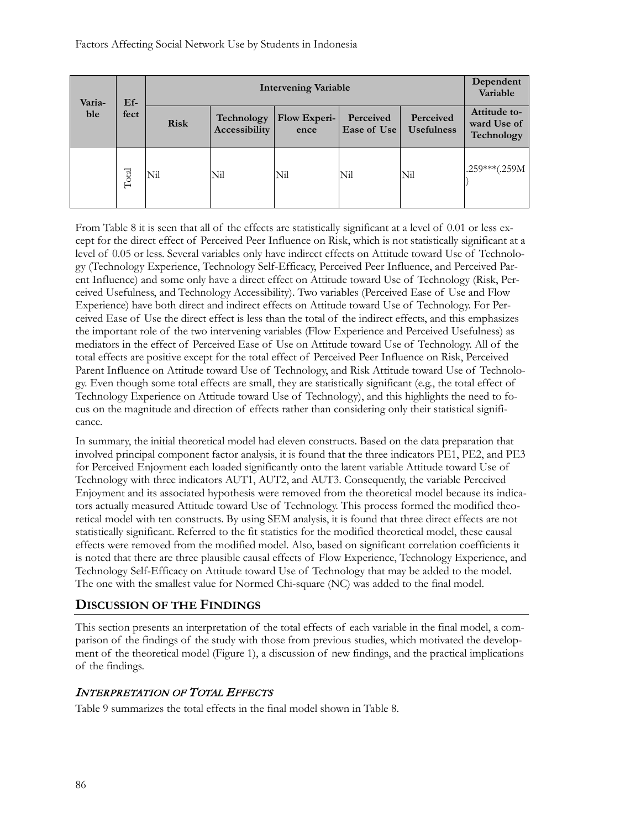#### Factors Affecting Social Network Use by Students in Indonesia

| Varia-<br>ble | $Ef-$ |             |                             | <b>Intervening Variable</b>                                                        |                                           |     | Dependent<br>Variable |
|---------------|-------|-------------|-----------------------------|------------------------------------------------------------------------------------|-------------------------------------------|-----|-----------------------|
|               | fect  | <b>Risk</b> | Technology<br>Accessibility | Perceived<br>Flow Experi-<br>Perceived<br><b>Usefulness</b><br>Ease of Use<br>ence | Attitude to-<br>ward Use of<br>Technology |     |                       |
|               | Total | Nil         | Nil                         | Nil                                                                                | Nil                                       | Nil | $.259***(.259M)$      |

From Table 8 it is seen that all of the effects are statistically significant at a level of 0.01 or less except for the direct effect of Perceived Peer Influence on Risk, which is not statistically significant at a level of 0.05 or less. Several variables only have indirect effects on Attitude toward Use of Technology (Technology Experience, Technology Self-Efficacy, Perceived Peer Influence, and Perceived Parent Influence) and some only have a direct effect on Attitude toward Use of Technology (Risk, Perceived Usefulness, and Technology Accessibility). Two variables (Perceived Ease of Use and Flow Experience) have both direct and indirect effects on Attitude toward Use of Technology. For Perceived Ease of Use the direct effect is less than the total of the indirect effects, and this emphasizes the important role of the two intervening variables (Flow Experience and Perceived Usefulness) as mediators in the effect of Perceived Ease of Use on Attitude toward Use of Technology. All of the total effects are positive except for the total effect of Perceived Peer Influence on Risk, Perceived Parent Influence on Attitude toward Use of Technology, and Risk Attitude toward Use of Technology. Even though some total effects are small, they are statistically significant (e.g., the total effect of Technology Experience on Attitude toward Use of Technology), and this highlights the need to focus on the magnitude and direction of effects rather than considering only their statistical significance.

In summary, the initial theoretical model had eleven constructs. Based on the data preparation that involved principal component factor analysis, it is found that the three indicators PE1, PE2, and PE3 for Perceived Enjoyment each loaded significantly onto the latent variable Attitude toward Use of Technology with three indicators AUT1, AUT2, and AUT3. Consequently, the variable Perceived Enjoyment and its associated hypothesis were removed from the theoretical model because its indicators actually measured Attitude toward Use of Technology. This process formed the modified theoretical model with ten constructs. By using SEM analysis, it is found that three direct effects are not statistically significant. Referred to the fit statistics for the modified theoretical model, these causal effects were removed from the modified model. Also, based on significant correlation coefficients it is noted that there are three plausible causal effects of Flow Experience, Technology Experience, and Technology Self-Efficacy on Attitude toward Use of Technology that may be added to the model. The one with the smallest value for Normed Chi-square (NC) was added to the final model.

## **DISCUSSION OF THE FINDINGS**

This section presents an interpretation of the total effects of each variable in the final model, a comparison of the findings of the study with those from previous studies, which motivated the development of the theoretical model (Figure 1), a discussion of new findings, and the practical implications of the findings.

#### INTERPRETATION OF TOTAL EFFECTS

Table 9 summarizes the total effects in the final model shown in Table 8.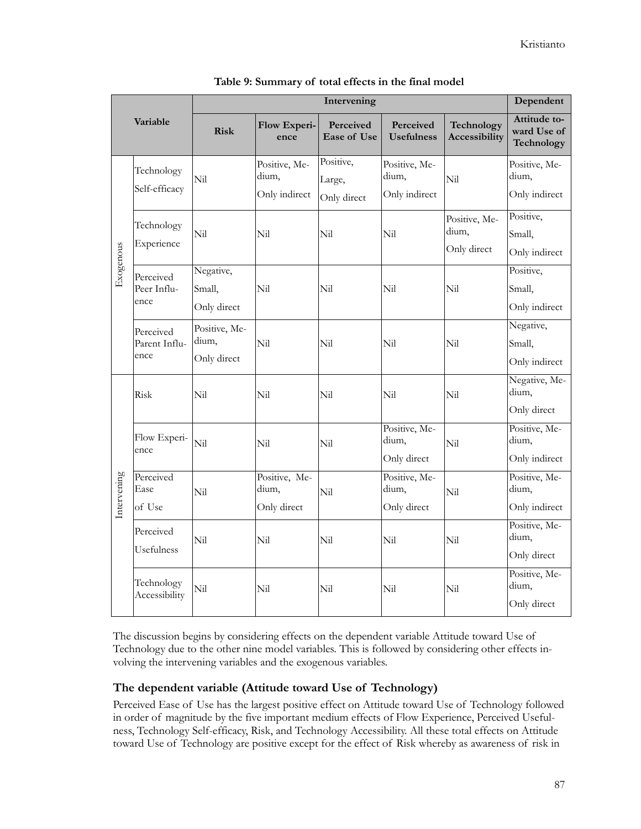| Variable    |                                    |                                       | Dependent                               |                                        |                                         |                                       |                                           |
|-------------|------------------------------------|---------------------------------------|-----------------------------------------|----------------------------------------|-----------------------------------------|---------------------------------------|-------------------------------------------|
|             |                                    | <b>Risk</b>                           | Flow Experi-<br>ence                    | <b>Perceived</b><br><b>Ease of Use</b> | <b>Perceived</b><br><b>Usefulness</b>   | Technology<br><b>Accessibility</b>    | Attitude to-<br>ward Use of<br>Technology |
|             | Technology<br>Self-efficacy        | Nil                                   | Positive, Me-<br>dium,<br>Only indirect | Positive,<br>Large,<br>Only direct     | Positive, Me-<br>dium,<br>Only indirect | Nil                                   | Positive, Me-<br>dium,<br>Only indirect   |
|             | Technology<br>Experience           | Nil                                   | Nil                                     | Nil                                    | Nil                                     | Positive, Me-<br>dium,<br>Only direct | Positive,<br>Small,<br>Only indirect      |
| Exogenous   | Perceived<br>Peer Influ-<br>ence   | Negative,<br>Small,<br>Only direct    | Nil                                     | Nil                                    | Nil                                     | Nil                                   | Positive,<br>Small,<br>Only indirect      |
|             | Perceived<br>Parent Influ-<br>ence | Positive, Me-<br>dium,<br>Only direct | Ni <sub>l</sub>                         | Nil                                    | Nil                                     | Nil                                   | Negative,<br>Small,<br>Only indirect      |
| Intervening | Risk                               | Nil                                   | Nil                                     | Nil                                    | Nil                                     | Nil                                   | Negative, Me-<br>dium,<br>Only direct     |
|             | Flow Experi-<br>ence               | Nil                                   | Nil                                     | Nil                                    | Positive, Me-<br>dium,<br>Only direct   | Nil                                   | Positive, Me-<br>dium,<br>Only indirect   |
|             | Perceived<br>Ease<br>of Use        | Nil                                   | Positive, Me-<br>dium,<br>Only direct   | Nil                                    | Positive, Me-<br>dium,<br>Only direct   | Nil                                   | Positive, Me-<br>dium,<br>Only indirect   |
|             | Perceived<br>Usefulness            | Nil                                   | Nil                                     | Nil                                    | Nil                                     | Nil                                   | Positive, Me-<br>dium,<br>Only direct     |
|             | Technology<br>Accessibility        | Nil                                   | Nil                                     | Nil                                    | Nil                                     | Nil                                   | Positive, Me-<br>dium,<br>Only direct     |

The discussion begins by considering effects on the dependent variable Attitude toward Use of Technology due to the other nine model variables. This is followed by considering other effects involving the intervening variables and the exogenous variables.

#### **The dependent variable (Attitude toward Use of Technology)**

Perceived Ease of Use has the largest positive effect on Attitude toward Use of Technology followed in order of magnitude by the five important medium effects of Flow Experience, Perceived Usefulness, Technology Self-efficacy, Risk, and Technology Accessibility. All these total effects on Attitude toward Use of Technology are positive except for the effect of Risk whereby as awareness of risk in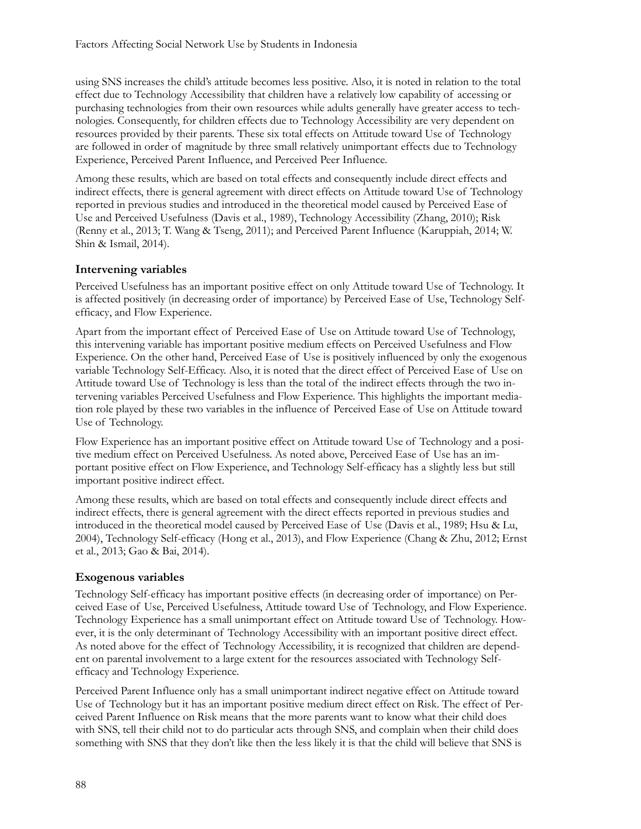using SNS increases the child's attitude becomes less positive. Also, it is noted in relation to the total effect due to Technology Accessibility that children have a relatively low capability of accessing or purchasing technologies from their own resources while adults generally have greater access to technologies. Consequently, for children effects due to Technology Accessibility are very dependent on resources provided by their parents. These six total effects on Attitude toward Use of Technology are followed in order of magnitude by three small relatively unimportant effects due to Technology Experience, Perceived Parent Influence, and Perceived Peer Influence.

Among these results, which are based on total effects and consequently include direct effects and indirect effects, there is general agreement with direct effects on Attitude toward Use of Technology reported in previous studies and introduced in the theoretical model caused by Perceived Ease of Use and Perceived Usefulness (Davis et al., 1989), Technology Accessibility (Zhang, 2010); Risk (Renny et al., 2013; T. Wang & Tseng, 2011); and Perceived Parent Influence (Karuppiah, 2014; W. Shin & Ismail, 2014).

## **Intervening variables**

Perceived Usefulness has an important positive effect on only Attitude toward Use of Technology. It is affected positively (in decreasing order of importance) by Perceived Ease of Use, Technology Selfefficacy, and Flow Experience.

Apart from the important effect of Perceived Ease of Use on Attitude toward Use of Technology, this intervening variable has important positive medium effects on Perceived Usefulness and Flow Experience. On the other hand, Perceived Ease of Use is positively influenced by only the exogenous variable Technology Self-Efficacy. Also, it is noted that the direct effect of Perceived Ease of Use on Attitude toward Use of Technology is less than the total of the indirect effects through the two intervening variables Perceived Usefulness and Flow Experience. This highlights the important mediation role played by these two variables in the influence of Perceived Ease of Use on Attitude toward Use of Technology.

Flow Experience has an important positive effect on Attitude toward Use of Technology and a positive medium effect on Perceived Usefulness. As noted above, Perceived Ease of Use has an important positive effect on Flow Experience, and Technology Self-efficacy has a slightly less but still important positive indirect effect.

Among these results, which are based on total effects and consequently include direct effects and indirect effects, there is general agreement with the direct effects reported in previous studies and introduced in the theoretical model caused by Perceived Ease of Use (Davis et al., 1989; Hsu & Lu, 2004), Technology Self-efficacy (Hong et al., 2013), and Flow Experience (Chang & Zhu, 2012; Ernst et al., 2013; Gao & Bai, 2014).

#### **Exogenous variables**

Technology Self-efficacy has important positive effects (in decreasing order of importance) on Perceived Ease of Use, Perceived Usefulness, Attitude toward Use of Technology, and Flow Experience. Technology Experience has a small unimportant effect on Attitude toward Use of Technology. However, it is the only determinant of Technology Accessibility with an important positive direct effect. As noted above for the effect of Technology Accessibility, it is recognized that children are dependent on parental involvement to a large extent for the resources associated with Technology Selfefficacy and Technology Experience.

Perceived Parent Influence only has a small unimportant indirect negative effect on Attitude toward Use of Technology but it has an important positive medium direct effect on Risk. The effect of Perceived Parent Influence on Risk means that the more parents want to know what their child does with SNS, tell their child not to do particular acts through SNS, and complain when their child does something with SNS that they don't like then the less likely it is that the child will believe that SNS is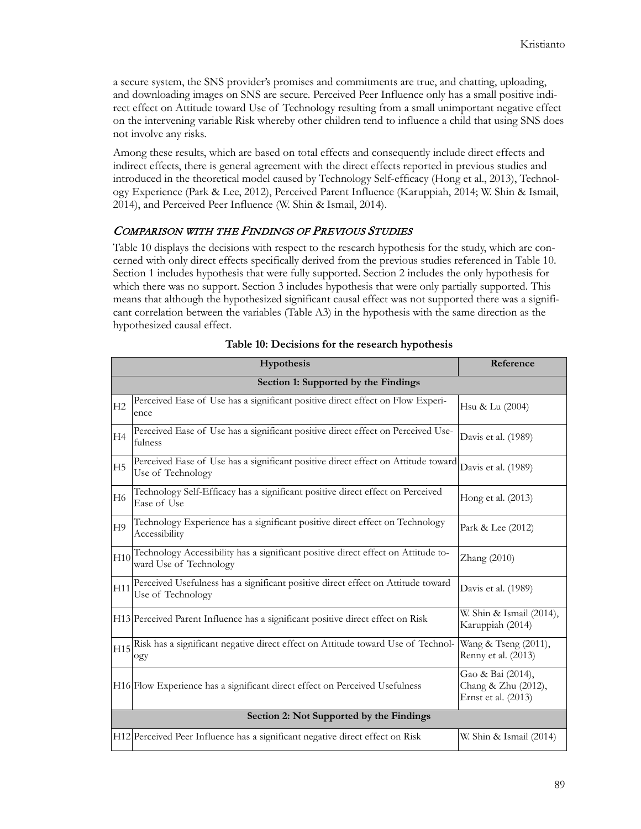a secure system, the SNS provider's promises and commitments are true, and chatting, uploading, and downloading images on SNS are secure. Perceived Peer Influence only has a small positive indirect effect on Attitude toward Use of Technology resulting from a small unimportant negative effect on the intervening variable Risk whereby other children tend to influence a child that using SNS does not involve any risks.

Among these results, which are based on total effects and consequently include direct effects and indirect effects, there is general agreement with the direct effects reported in previous studies and introduced in the theoretical model caused by Technology Self-efficacy (Hong et al., 2013), Technology Experience (Park & Lee, 2012), Perceived Parent Influence (Karuppiah, 2014; W. Shin & Ismail, 2014), and Perceived Peer Influence (W. Shin & Ismail, 2014).

#### COMPARISON WITH THE FINDINGS OF PREVIOUS STUDIES

Table 10 displays the decisions with respect to the research hypothesis for the study, which are concerned with only direct effects specifically derived from the previous studies referenced in Table 10. Section 1 includes hypothesis that were fully supported. Section 2 includes the only hypothesis for which there was no support. Section 3 includes hypothesis that were only partially supported. This means that although the hypothesized significant causal effect was not supported there was a significant correlation between the variables (Table A3) in the hypothesis with the same direction as the hypothesized causal effect.

|                | Hypothesis                                                                                                  | Reference                                                       |
|----------------|-------------------------------------------------------------------------------------------------------------|-----------------------------------------------------------------|
|                | Section 1: Supported by the Findings                                                                        |                                                                 |
| H2             | Perceived Ease of Use has a significant positive direct effect on Flow Experi-<br>ence                      | Hsu & Lu (2004)                                                 |
| H4             | Perceived Ease of Use has a significant positive direct effect on Perceived Use-<br>fulness                 | Davis et al. (1989)                                             |
| H <sub>5</sub> | Perceived Ease of Use has a significant positive direct effect on Attitude toward<br>Use of Technology      | Davis et al. (1989)                                             |
| H <sub>6</sub> | Technology Self-Efficacy has a significant positive direct effect on Perceived<br>Ease of Use               | Hong et al. (2013)                                              |
| H <sub>9</sub> | Technology Experience has a significant positive direct effect on Technology<br>Accessibility               | Park & Lee (2012)                                               |
| H10            | Technology Accessibility has a significant positive direct effect on Attitude to-<br>ward Use of Technology | Zhang (2010)                                                    |
| H11            | Perceived Usefulness has a significant positive direct effect on Attitude toward<br>Use of Technology       | Davis et al. (1989)                                             |
|                | H13 Perceived Parent Influence has a significant positive direct effect on Risk                             | W. Shin & Ismail (2014),<br>Karuppiah (2014)                    |
|                | H15 Risk has a significant negative direct effect on Attitude toward Use of Technol-<br>ogy                 | Wang & Tseng (2011),<br>Renny et al. (2013)                     |
|                | H16 Flow Experience has a significant direct effect on Perceived Usefulness                                 | Gao & Bai (2014),<br>Chang & Zhu (2012),<br>Ernst et al. (2013) |
|                | Section 2: Not Supported by the Findings                                                                    |                                                                 |
|                | H12 Perceived Peer Influence has a significant negative direct effect on Risk                               | W. Shin & Ismail (2014)                                         |

#### **Table 10: Decisions for the research hypothesis**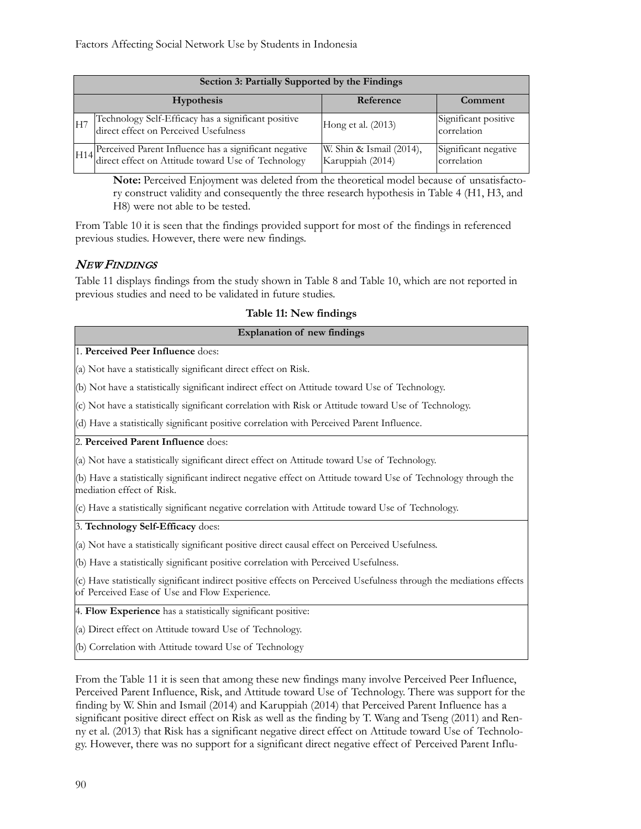|                 | Section 3: Partially Supported by the Findings                                                                  |                                              |                                     |  |  |  |
|-----------------|-----------------------------------------------------------------------------------------------------------------|----------------------------------------------|-------------------------------------|--|--|--|
|                 | <b>Hypothesis</b>                                                                                               | Reference                                    | Comment                             |  |  |  |
| IH <sub>7</sub> | Technology Self-Efficacy has a significant positive<br>direct effect on Perceived Usefulness                    | Hong et al. (2013)                           | Significant positive<br>correlation |  |  |  |
|                 | H14 Perceived Parent Influence has a significant negative<br>direct effect on Attitude toward Use of Technology | W. Shin & Ismail (2014),<br>Karuppiah (2014) | Significant negative<br>correlation |  |  |  |

**Note:** Perceived Enjoyment was deleted from the theoretical model because of unsatisfactory construct validity and consequently the three research hypothesis in Table 4 (H1, H3, and H8) were not able to be tested.

From Table 10 it is seen that the findings provided support for most of the findings in referenced previous studies. However, there were new findings.

#### NEW FINDINGS

Table 11 displays findings from the study shown in Table 8 and Table 10, which are not reported in previous studies and need to be validated in future studies.

|  |  |  | Table 11: New findings |
|--|--|--|------------------------|
|--|--|--|------------------------|

| <b>Explanation of new findings</b>                                                                                                                                   |
|----------------------------------------------------------------------------------------------------------------------------------------------------------------------|
| 1. Perceived Peer Influence does:                                                                                                                                    |
| (a) Not have a statistically significant direct effect on Risk.                                                                                                      |
| (b) Not have a statistically significant indirect effect on Attitude toward Use of Technology.                                                                       |
| (c) Not have a statistically significant correlation with Risk or Attitude toward Use of Technology.                                                                 |
| (d) Have a statistically significant positive correlation with Perceived Parent Influence.                                                                           |
| 2. Perceived Parent Influence does:                                                                                                                                  |
| (a) Not have a statistically significant direct effect on Attitude toward Use of Technology.                                                                         |
| (b) Have a statistically significant indirect negative effect on Attitude toward Use of Technology through the<br>mediation effect of Risk.                          |
| (c) Have a statistically significant negative correlation with Attitude toward Use of Technology.                                                                    |
| 3. Technology Self-Efficacy does:                                                                                                                                    |
| (a) Not have a statistically significant positive direct causal effect on Perceived Usefulness.                                                                      |
| (b) Have a statistically significant positive correlation with Perceived Usefulness.                                                                                 |
| (c) Have statistically significant indirect positive effects on Perceived Usefulness through the mediations effects<br>of Perceived Ease of Use and Flow Experience. |
| 4. Flow Experience has a statistically significant positive:                                                                                                         |

(a) Direct effect on Attitude toward Use of Technology.

(b) Correlation with Attitude toward Use of Technology

From the Table 11 it is seen that among these new findings many involve Perceived Peer Influence, Perceived Parent Influence, Risk, and Attitude toward Use of Technology. There was support for the finding by W. Shin and Ismail (2014) and Karuppiah (2014) that Perceived Parent Influence has a significant positive direct effect on Risk as well as the finding by T. Wang and Tseng (2011) and Renny et al. (2013) that Risk has a significant negative direct effect on Attitude toward Use of Technology. However, there was no support for a significant direct negative effect of Perceived Parent Influ-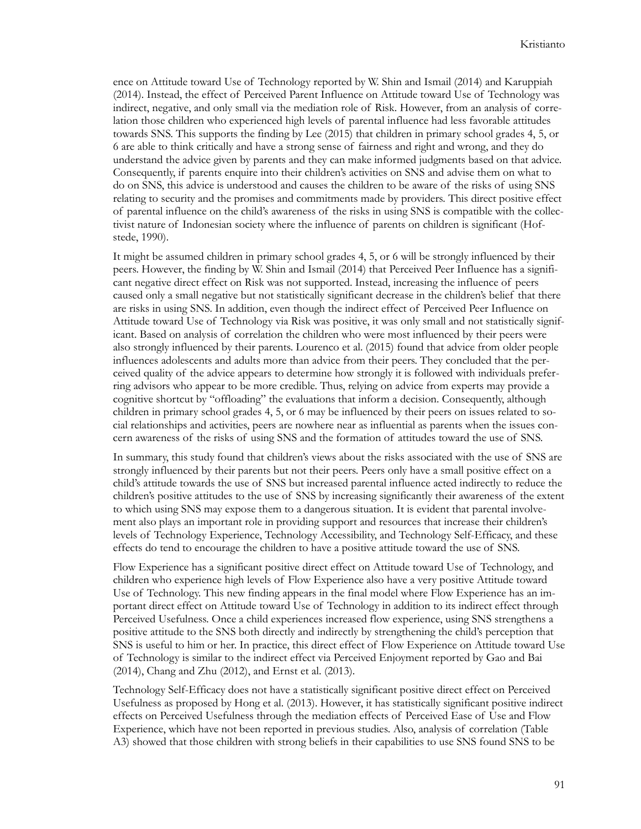ence on Attitude toward Use of Technology reported by W. Shin and Ismail (2014) and Karuppiah (2014). Instead, the effect of Perceived Parent Influence on Attitude toward Use of Technology was indirect, negative, and only small via the mediation role of Risk. However, from an analysis of correlation those children who experienced high levels of parental influence had less favorable attitudes towards SNS. This supports the finding by Lee (2015) that children in primary school grades 4, 5, or 6 are able to think critically and have a strong sense of fairness and right and wrong, and they do understand the advice given by parents and they can make informed judgments based on that advice. Consequently, if parents enquire into their children's activities on SNS and advise them on what to do on SNS, this advice is understood and causes the children to be aware of the risks of using SNS relating to security and the promises and commitments made by providers. This direct positive effect of parental influence on the child's awareness of the risks in using SNS is compatible with the collectivist nature of Indonesian society where the influence of parents on children is significant (Hofstede, 1990).

It might be assumed children in primary school grades 4, 5, or 6 will be strongly influenced by their peers. However, the finding by W. Shin and Ismail (2014) that Perceived Peer Influence has a significant negative direct effect on Risk was not supported. Instead, increasing the influence of peers caused only a small negative but not statistically significant decrease in the children's belief that there are risks in using SNS. In addition, even though the indirect effect of Perceived Peer Influence on Attitude toward Use of Technology via Risk was positive, it was only small and not statistically significant. Based on analysis of correlation the children who were most influenced by their peers were also strongly influenced by their parents. Lourenco et al. (2015) found that advice from older people influences adolescents and adults more than advice from their peers. They concluded that the perceived quality of the advice appears to determine how strongly it is followed with individuals preferring advisors who appear to be more credible. Thus, relying on advice from experts may provide a cognitive shortcut by "offloading" the evaluations that inform a decision. Consequently, although children in primary school grades 4, 5, or 6 may be influenced by their peers on issues related to social relationships and activities, peers are nowhere near as influential as parents when the issues concern awareness of the risks of using SNS and the formation of attitudes toward the use of SNS.

In summary, this study found that children's views about the risks associated with the use of SNS are strongly influenced by their parents but not their peers. Peers only have a small positive effect on a child's attitude towards the use of SNS but increased parental influence acted indirectly to reduce the children's positive attitudes to the use of SNS by increasing significantly their awareness of the extent to which using SNS may expose them to a dangerous situation. It is evident that parental involvement also plays an important role in providing support and resources that increase their children's levels of Technology Experience, Technology Accessibility, and Technology Self-Efficacy, and these effects do tend to encourage the children to have a positive attitude toward the use of SNS.

Flow Experience has a significant positive direct effect on Attitude toward Use of Technology, and children who experience high levels of Flow Experience also have a very positive Attitude toward Use of Technology. This new finding appears in the final model where Flow Experience has an important direct effect on Attitude toward Use of Technology in addition to its indirect effect through Perceived Usefulness. Once a child experiences increased flow experience, using SNS strengthens a positive attitude to the SNS both directly and indirectly by strengthening the child's perception that SNS is useful to him or her. In practice, this direct effect of Flow Experience on Attitude toward Use of Technology is similar to the indirect effect via Perceived Enjoyment reported by Gao and Bai (2014), Chang and Zhu (2012), and Ernst et al. (2013).

Technology Self-Efficacy does not have a statistically significant positive direct effect on Perceived Usefulness as proposed by Hong et al. (2013). However, it has statistically significant positive indirect effects on Perceived Usefulness through the mediation effects of Perceived Ease of Use and Flow Experience, which have not been reported in previous studies. Also, analysis of correlation (Table A3) showed that those children with strong beliefs in their capabilities to use SNS found SNS to be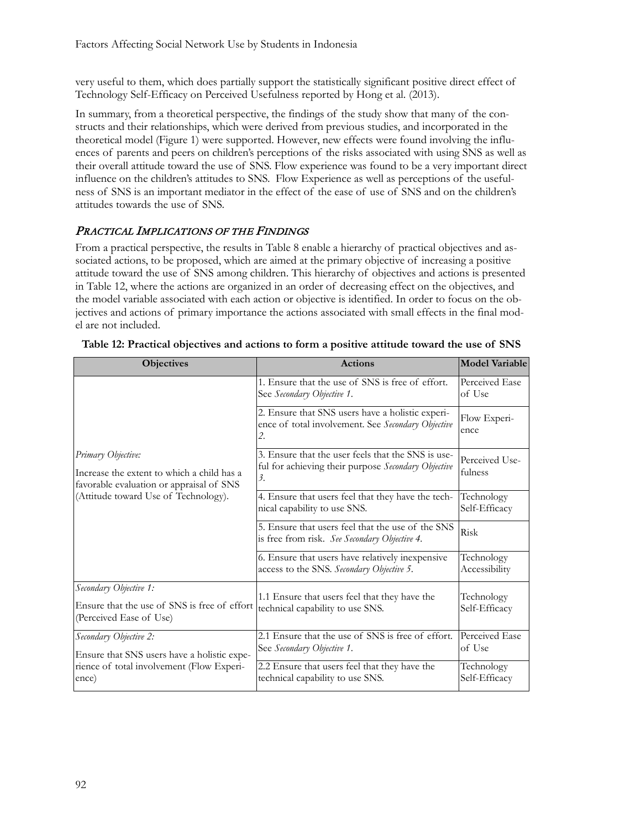very useful to them, which does partially support the statistically significant positive direct effect of Technology Self-Efficacy on Perceived Usefulness reported by Hong et al. (2013).

In summary, from a theoretical perspective, the findings of the study show that many of the constructs and their relationships, which were derived from previous studies, and incorporated in the theoretical model (Figure 1) were supported. However, new effects were found involving the influences of parents and peers on children's perceptions of the risks associated with using SNS as well as their overall attitude toward the use of SNS. Flow experience was found to be a very important direct influence on the children's attitudes to SNS. Flow Experience as well as perceptions of the usefulness of SNS is an important mediator in the effect of the ease of use of SNS and on the children's attitudes towards the use of SNS.

## PRACTICAL IMPLICATIONS OF THE FINDINGS

From a practical perspective, the results in Table 8 enable a hierarchy of practical objectives and associated actions, to be proposed, which are aimed at the primary objective of increasing a positive attitude toward the use of SNS among children. This hierarchy of objectives and actions is presented in Table 12, where the actions are organized in an order of decreasing effect on the objectives, and the model variable associated with each action or objective is identified. In order to focus on the objectives and actions of primary importance the actions associated with small effects in the final model are not included.

| <b>Objectives</b>                                                                                            | <b>Actions</b>                                                                                                  | <b>Model Variable</b>       |
|--------------------------------------------------------------------------------------------------------------|-----------------------------------------------------------------------------------------------------------------|-----------------------------|
|                                                                                                              | 1. Ensure that the use of SNS is free of effort.<br>See Secondary Objective 1.                                  | Perceived Ease<br>of Use    |
|                                                                                                              | 2. Ensure that SNS users have a holistic experi-<br>ence of total involvement. See Secondary Objective<br>2.    | Flow Experi-<br>ence        |
| Primary Objective:<br>Increase the extent to which a child has a<br>favorable evaluation or appraisal of SNS | 3. Ensure that the user feels that the SNS is use-<br>ful for achieving their purpose Secondary Objective<br>3. | Perceived Use-<br>fulness   |
| (Attitude toward Use of Technology).                                                                         | 4. Ensure that users feel that they have the tech-<br>nical capability to use SNS.                              | Technology<br>Self-Efficacy |
|                                                                                                              | 5. Ensure that users feel that the use of the SNS<br>is free from risk. See Secondary Objective 4.              | Risk                        |
|                                                                                                              | 6. Ensure that users have relatively inexpensive<br>access to the SNS. Secondary Objective 5.                   | Technology<br>Accessibility |
| Secondary Objective 1:                                                                                       | 1.1 Ensure that users feel that they have the                                                                   | Technology                  |
| Ensure that the use of SNS is free of effort<br>(Perceived Ease of Use)                                      | technical capability to use SNS.                                                                                | Self-Efficacy               |
| Secondary Objective 2:                                                                                       | 2.1 Ensure that the use of SNS is free of effort.<br>See Secondary Objective 1.                                 | Perceived Ease<br>of Use    |
| Ensure that SNS users have a holistic expe-                                                                  |                                                                                                                 |                             |
| rience of total involvement (Flow Experi-<br>ence)                                                           | 2.2 Ensure that users feel that they have the<br>technical capability to use SNS.                               | Technology<br>Self-Efficacy |

| Table 12: Practical objectives and actions to form a positive attitude toward the use of SNS |  |  |  |
|----------------------------------------------------------------------------------------------|--|--|--|
|----------------------------------------------------------------------------------------------|--|--|--|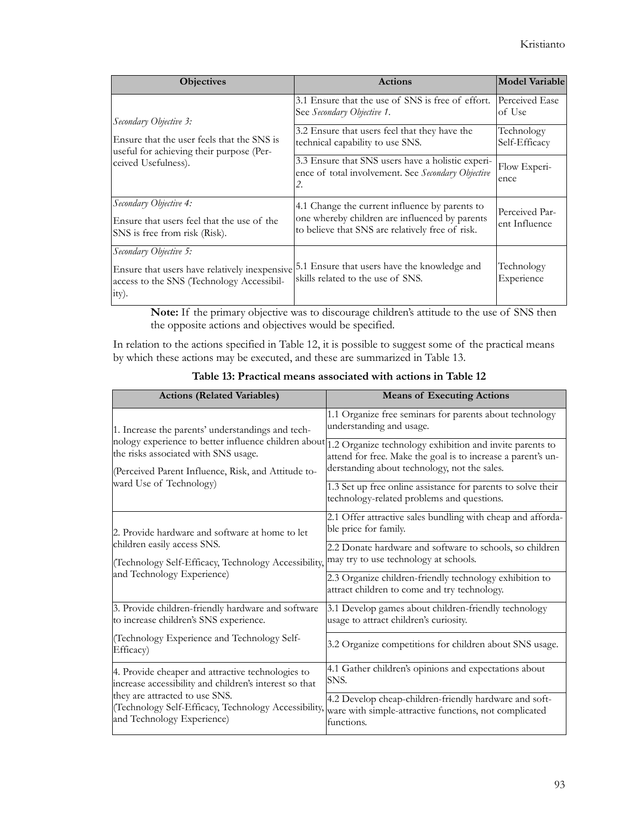| <b>Objectives</b>                                                                                     | <b>Actions</b>                                                                                                                                       | Model Variable                  |
|-------------------------------------------------------------------------------------------------------|------------------------------------------------------------------------------------------------------------------------------------------------------|---------------------------------|
| Secondary Objective 3:                                                                                | 3.1 Ensure that the use of SNS is free of effort.<br>See Secondary Objective 1.                                                                      | Perceived Ease<br>of Use        |
| Ensure that the user feels that the SNS is<br>useful for achieving their purpose (Per-                | 3.2 Ensure that users feel that they have the<br>technical capability to use SNS.                                                                    | Technology<br>Self-Efficacy     |
| ceived Usefulness).                                                                                   | 3.3 Ensure that SNS users have a holistic experi-<br>ence of total involvement. See Secondary Objective<br>2.                                        | Flow Experi-<br>ence            |
| Secondary Objective 4:<br>Ensure that users feel that the use of the<br>SNS is free from risk (Risk). | 4.1 Change the current influence by parents to<br>one whereby children are influenced by parents<br>to believe that SNS are relatively free of risk. | Perceived Par-<br>ent Influence |
| Secondary Objective 5:<br>access to the SNS (Technology Accessibil-<br>ity).                          | Ensure that users have relatively inexpensive 5.1 Ensure that users have the knowledge and<br>skills related to the use of SNS.                      | Technology<br>Experience        |

**Note:** If the primary objective was to discourage children's attitude to the use of SNS then the opposite actions and objectives would be specified.

In relation to the actions specified in Table 12, it is possible to suggest some of the practical means by which these actions may be executed, and these are summarized in Table 13.

| <b>Actions (Related Variables)</b>                                                                                   | <b>Means of Executing Actions</b>                                                                                                                                                                                             |  |  |  |  |  |
|----------------------------------------------------------------------------------------------------------------------|-------------------------------------------------------------------------------------------------------------------------------------------------------------------------------------------------------------------------------|--|--|--|--|--|
| 1. Increase the parents' understandings and tech-                                                                    | 1.1 Organize free seminars for parents about technology<br>understanding and usage.                                                                                                                                           |  |  |  |  |  |
| the risks associated with SNS usage.<br>(Perceived Parent Influence, Risk, and Attitude to-                          | nology experience to better influence children about 1.2 Organize technology exhibition and invite parents to<br>attend for free. Make the goal is to increase a parent's un-<br>derstanding about technology, not the sales. |  |  |  |  |  |
| ward Use of Technology)                                                                                              | 1.3 Set up free online assistance for parents to solve their<br>technology-related problems and questions.                                                                                                                    |  |  |  |  |  |
| 2. Provide hardware and software at home to let                                                                      | 2.1 Offer attractive sales bundling with cheap and afforda-<br>ble price for family.                                                                                                                                          |  |  |  |  |  |
| children easily access SNS.<br>(Technology Self-Efficacy, Technology Accessibility,                                  | 2.2 Donate hardware and software to schools, so children<br>may try to use technology at schools.                                                                                                                             |  |  |  |  |  |
| and Technology Experience)                                                                                           | 2.3 Organize children-friendly technology exhibition to<br>attract children to come and try technology.                                                                                                                       |  |  |  |  |  |
| 3. Provide children-friendly hardware and software<br>to increase children's SNS experience.                         | 3.1 Develop games about children-friendly technology<br>usage to attract children's curiosity.                                                                                                                                |  |  |  |  |  |
| (Technology Experience and Technology Self-<br>Efficacy)                                                             | 3.2 Organize competitions for children about SNS usage.                                                                                                                                                                       |  |  |  |  |  |
| 4. Provide cheaper and attractive technologies to<br>increase accessibility and children's interest so that          | 4.1 Gather children's opinions and expectations about<br>SNS.                                                                                                                                                                 |  |  |  |  |  |
| they are attracted to use SNS.<br>(Technology Self-Efficacy, Technology Accessibility,<br>and Technology Experience) | 4.2 Develop cheap-children-friendly hardware and soft-<br>ware with simple-attractive functions, not complicated<br>functions.                                                                                                |  |  |  |  |  |

**Table 13: Practical means associated with actions in Table 12**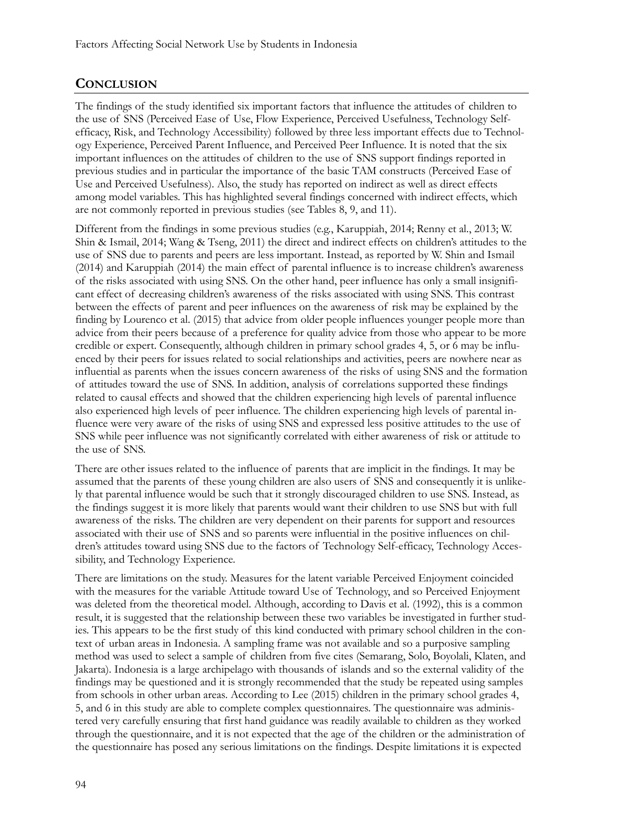## **CONCLUSION**

The findings of the study identified six important factors that influence the attitudes of children to the use of SNS (Perceived Ease of Use, Flow Experience, Perceived Usefulness, Technology Selfefficacy, Risk, and Technology Accessibility) followed by three less important effects due to Technology Experience, Perceived Parent Influence, and Perceived Peer Influence. It is noted that the six important influences on the attitudes of children to the use of SNS support findings reported in previous studies and in particular the importance of the basic TAM constructs (Perceived Ease of Use and Perceived Usefulness). Also, the study has reported on indirect as well as direct effects among model variables. This has highlighted several findings concerned with indirect effects, which are not commonly reported in previous studies (see Tables 8, 9, and 11).

Different from the findings in some previous studies (e.g., Karuppiah, 2014; Renny et al., 2013; W. Shin & Ismail, 2014; Wang & Tseng, 2011) the direct and indirect effects on children's attitudes to the use of SNS due to parents and peers are less important. Instead, as reported by W. Shin and Ismail (2014) and Karuppiah (2014) the main effect of parental influence is to increase children's awareness of the risks associated with using SNS. On the other hand, peer influence has only a small insignificant effect of decreasing children's awareness of the risks associated with using SNS. This contrast between the effects of parent and peer influences on the awareness of risk may be explained by the finding by Lourenco et al. (2015) that advice from older people influences younger people more than advice from their peers because of a preference for quality advice from those who appear to be more credible or expert. Consequently, although children in primary school grades 4, 5, or 6 may be influenced by their peers for issues related to social relationships and activities, peers are nowhere near as influential as parents when the issues concern awareness of the risks of using SNS and the formation of attitudes toward the use of SNS. In addition, analysis of correlations supported these findings related to causal effects and showed that the children experiencing high levels of parental influence also experienced high levels of peer influence. The children experiencing high levels of parental influence were very aware of the risks of using SNS and expressed less positive attitudes to the use of SNS while peer influence was not significantly correlated with either awareness of risk or attitude to the use of SNS.

There are other issues related to the influence of parents that are implicit in the findings. It may be assumed that the parents of these young children are also users of SNS and consequently it is unlikely that parental influence would be such that it strongly discouraged children to use SNS. Instead, as the findings suggest it is more likely that parents would want their children to use SNS but with full awareness of the risks. The children are very dependent on their parents for support and resources associated with their use of SNS and so parents were influential in the positive influences on children's attitudes toward using SNS due to the factors of Technology Self-efficacy, Technology Accessibility, and Technology Experience.

There are limitations on the study. Measures for the latent variable Perceived Enjoyment coincided with the measures for the variable Attitude toward Use of Technology, and so Perceived Enjoyment was deleted from the theoretical model. Although, according to Davis et al. (1992), this is a common result, it is suggested that the relationship between these two variables be investigated in further studies. This appears to be the first study of this kind conducted with primary school children in the context of urban areas in Indonesia. A sampling frame was not available and so a purposive sampling method was used to select a sample of children from five cites (Semarang, Solo, Boyolali, Klaten, and Jakarta). Indonesia is a large archipelago with thousands of islands and so the external validity of the findings may be questioned and it is strongly recommended that the study be repeated using samples from schools in other urban areas. According to Lee (2015) children in the primary school grades 4, 5, and 6 in this study are able to complete complex questionnaires. The questionnaire was administered very carefully ensuring that first hand guidance was readily available to children as they worked through the questionnaire, and it is not expected that the age of the children or the administration of the questionnaire has posed any serious limitations on the findings. Despite limitations it is expected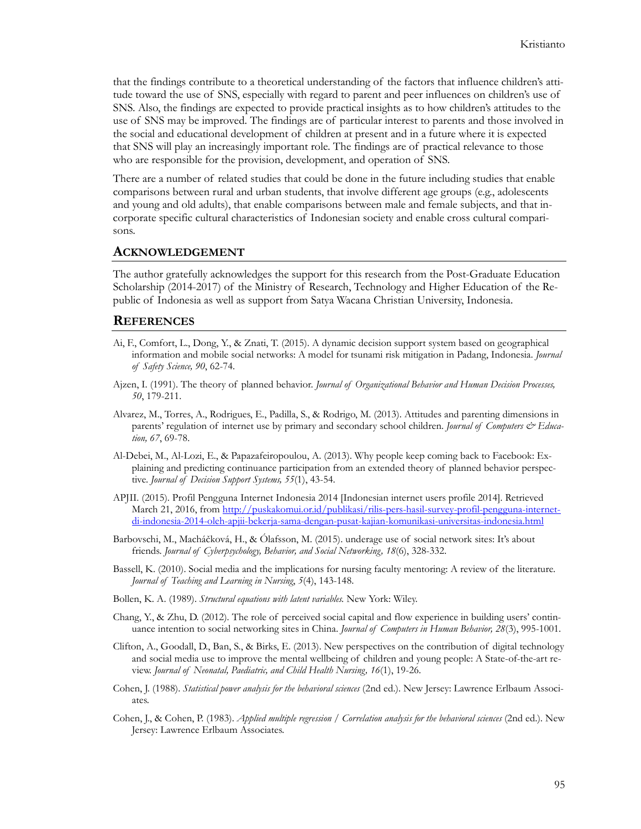that the findings contribute to a theoretical understanding of the factors that influence children's attitude toward the use of SNS, especially with regard to parent and peer influences on children's use of SNS. Also, the findings are expected to provide practical insights as to how children's attitudes to the use of SNS may be improved. The findings are of particular interest to parents and those involved in the social and educational development of children at present and in a future where it is expected that SNS will play an increasingly important role. The findings are of practical relevance to those who are responsible for the provision, development, and operation of SNS.

There are a number of related studies that could be done in the future including studies that enable comparisons between rural and urban students, that involve different age groups (e.g., adolescents and young and old adults), that enable comparisons between male and female subjects, and that incorporate specific cultural characteristics of Indonesian society and enable cross cultural comparisons.

#### **ACKNOWLEDGEMENT**

The author gratefully acknowledges the support for this research from the Post-Graduate Education Scholarship (2014-2017) of the Ministry of Research, Technology and Higher Education of the Republic of Indonesia as well as support from Satya Wacana Christian University, Indonesia.

#### **REFERENCES**

- Ai, F., Comfort, L., Dong, Y., & Znati, T. (2015). A dynamic decision support system based on geographical information and mobile social networks: A model for tsunami risk mitigation in Padang, Indonesia. *Journal of Safety Science, 90*, 62-74.
- Ajzen, I. (1991). The theory of planned behavior. *Journal of Organizational Behavior and Human Decision Processes, 50*, 179-211.
- Alvarez, M., Torres, A., Rodrigues, E., Padilla, S., & Rodrigo, M. (2013). Attitudes and parenting dimensions in parents' regulation of internet use by primary and secondary school children. *Journal of Computers & Education, 67*, 69-78.
- Al-Debei, M., Al-Lozi, E., & Papazafeiropoulou, A. (2013). Why people keep coming back to Facebook: Explaining and predicting continuance participation from an extended theory of planned behavior perspective. *Journal of Decision Support Systems, 55*(1), 43-54.
- APJII. (2015). Profil Pengguna Internet Indonesia 2014 [Indonesian internet users profile 2014]. Retrieved March 21, 2016, from [http://puskakomui.or.id/publikasi/rilis](http://puskakomui.or.id/publikasi/rilis-pers-hasil-survey-profil-pengguna-internet-di-indonesia-2014-oleh-apjii-bekerja-sama-dengan-pusat-kajian-komunikasi-universitas-indonesia.html)-pers-hasil-survey-profil-pengguna-internetdi-indonesia-2014-oleh-apjii-bekerja-sama-dengan-pusat-kajian-komunikasi-universitas-[indonesia.html](http://puskakomui.or.id/publikasi/rilis-pers-hasil-survey-profil-pengguna-internet-di-indonesia-2014-oleh-apjii-bekerja-sama-dengan-pusat-kajian-komunikasi-universitas-indonesia.html)
- Barbovschi, M., Macháčková, H., & Ólafsson, M. (2015). underage use of social network sites: It's about friends. *Journal of Cyberpsychology, Behavior, and Social Networking, 18*(6), 328-332.
- Bassell, K. (2010). Social media and the implications for nursing faculty mentoring: A review of the literature. *Journal of Teaching and Learning in Nursing*, *5*(4), 143-148.
- Bollen, K. A. (1989). *Structural equations with latent variables.* New York: Wiley.
- Chang, Y., & Zhu, D. (2012). The role of perceived social capital and flow experience in building users' continuance intention to social networking sites in China. *Journal of Computers in Human Behavior, 28*(3), 995-1001.
- Clifton, A., Goodall, D., Ban, S., & Birks, E. (2013). New perspectives on the contribution of digital technology and social media use to improve the mental wellbeing of children and young people: A State-of-the-art review. *Journal of Neonatal, Paediatric, and Child Health Nursing, 16*(1), 19-26.
- Cohen, J. (1988). *Statistical power analysis for the behavioral sciences* (2nd ed.). New Jersey: Lawrence Erlbaum Associates.
- Cohen, J., & Cohen, P. (1983). *Applied multiple regression / Correlation analysis for the behavioral sciences* (2nd ed.). New Jersey: Lawrence Erlbaum Associates.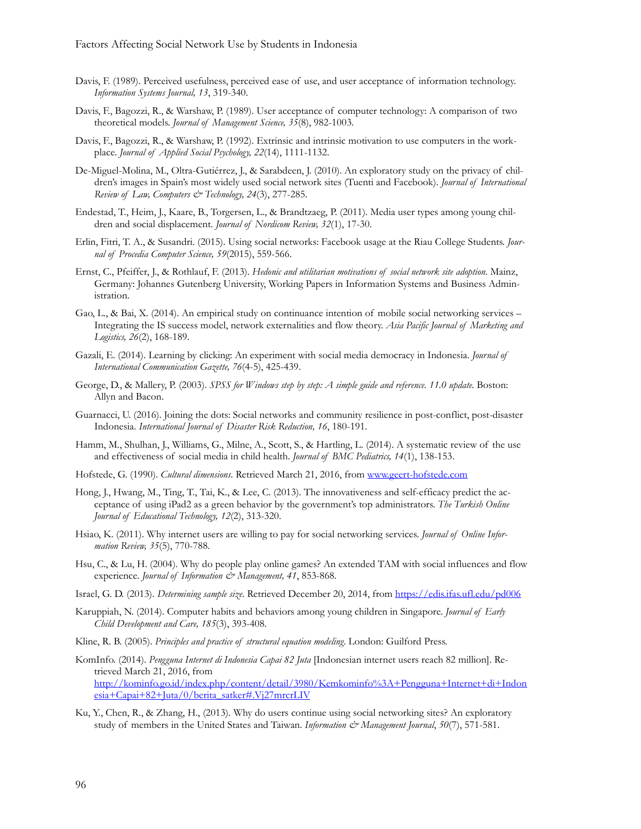- Davis, F. (1989). Perceived usefulness, perceived ease of use, and user acceptance of information technology. *Information Systems Journal, 13*, 319-340.
- Davis, F., Bagozzi, R., & Warshaw, P. (1989). User acceptance of computer technology: A comparison of two theoretical models. *Journal of Management Science, 35*(8), 982-1003.
- Davis, F., Bagozzi, R., & Warshaw, P. (1992). Extrinsic and intrinsic motivation to use computers in the workplace. *Journal of Applied Social Psychology, 22*(14), 1111-1132.
- De-Miguel-Molina, M., Oltra-Gutiérrez, J., & Sarabdeen, J. (2010). An exploratory study on the privacy of children's images in Spain's most widely used social network sites (Tuenti and Facebook). *Journal of International Review of Law, Computers & Technology, 24*(3), 277-285.
- Endestad, T., Heim, J., Kaare, B., Torgersen, L., & Brandtzaeg, P. (2011). Media user types among young children and social displacement. *Journal of Nordicom Review, 32*(1), 17-30.
- Erlin, Fitri, T. A., & Susandri. (2015). Using social networks: Facebook usage at the Riau College Students. *Journal of Procedia Computer Science, 59*(2015), 559-566.
- Ernst, C., Pfeiffer, J., & Rothlauf, F. (2013). *Hedonic and utilitarian motivations of social network site adoption*. Mainz, Germany: Johannes Gutenberg University, Working Papers in Information Systems and Business Administration.
- Gao, L., & Bai, X. (2014). An empirical study on continuance intention of mobile social networking services Integrating the IS success model, network externalities and flow theory. *Asia Pacific Journal of Marketing and Logistics, 26*(2), 168-189.
- Gazali, E. (2014). Learning by clicking: An experiment with social media democracy in Indonesia. *Journal of International Communication Gazette, 76*(4-5), 425-439.
- George, D., & Mallery, P. (2003). *SPSS for Windows step by step: A simple guide and reference. 11.0 update*. Boston: Allyn and Bacon.
- Guarnacci, U. (2016). Joining the dots: Social networks and community resilience in post-conflict, post-disaster Indonesia. *International Journal of Disaster Risk Reduction, 16*, 180-191.
- Hamm, M., Shulhan, J., Williams, G., Milne, A., Scott, S., & Hartling, L. (2014). A systematic review of the use and effectiveness of social media in child health. *Journal of BMC Pediatrics, 14*(1), 138-153.
- Hofstede, G. (1990). *Cultural dimensions*. Retrieved March 21, 2016, from www.geert-[hofstede.com](http://www.geert-hofstede.com/)
- Hong, J., Hwang, M., Ting, T., Tai, K., & Lee, C. (2013). The innovativeness and self-efficacy predict the acceptance of using iPad2 as a green behavior by the government's top administrators. *The Turkish Online Journal of Educational Technology, 12*(2), 313-320.
- Hsiao, K. (2011). Why internet users are willing to pay for social networking services. *Journal of Online Information Review, 35*(5), 770-788.
- Hsu, C., & Lu, H. (2004). Why do people play online games? An extended TAM with social influences and flow experience. *Journal of Information & Management*, 41, 853-868.
- Israel, G. D. (2013). *Determining sample size*. Retrieved December 20, 2014, fro[m https://edis.ifas.ufl.edu/pd006](https://edis.ifas.ufl.edu/pd006)
- Karuppiah, N. (2014). Computer habits and behaviors among young children in Singapore. *Journal of Early Child Development and Care, 185*(3), 393-408.
- Kline, R. B. (2005). *Principles and practice of structural equation modeling*. London: Guilford Press.
- KomInfo. (2014). *Pengguna Internet di Indonesia Capai 82 Juta* [Indonesian internet users reach 82 million]. Retrieved March 21, 2016, from [http://kominfo.go.id/index.php/content/detail/3980/Kemkominfo%3A+Pengguna+Internet+di+Indon](http://kominfo.go.id/index.php/content/detail/3980/Kemkominfo%3A+Pengguna+Internet+di+Indonesia+Capai+82+Juta/0/berita_satker#.Vj27mrcrLIV) [esia+Capai+82+Juta/0/berita\\_satker#.Vj27mrcrLIV](http://kominfo.go.id/index.php/content/detail/3980/Kemkominfo%3A+Pengguna+Internet+di+Indonesia+Capai+82+Juta/0/berita_satker#.Vj27mrcrLIV)
- Ku, Y., Chen, R., & Zhang, H., (2013). Why do users continue using social networking sites? An exploratory study of members in the United States and Taiwan. *Information & Management Journal*, 50(7), 571-581.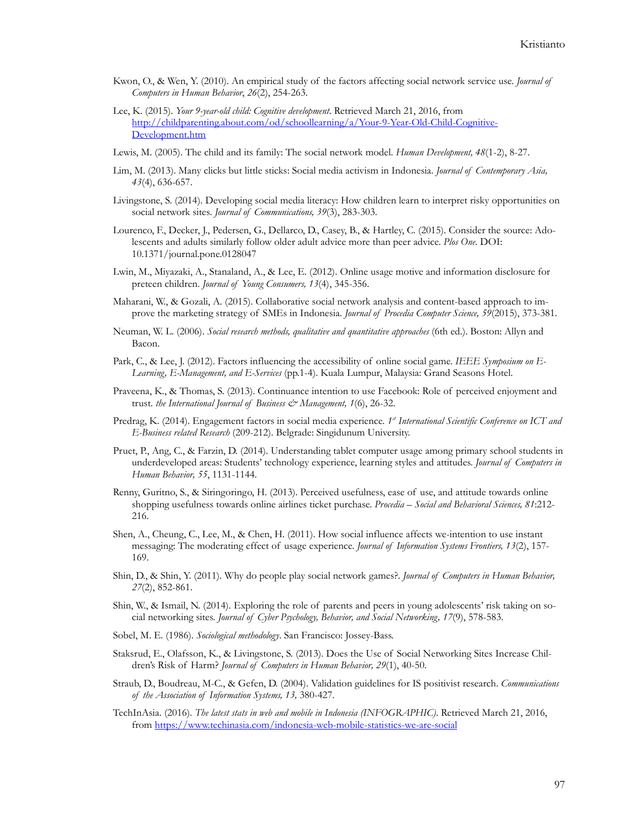- Kwon, O., & Wen, Y. (2010). An empirical study of the factors affecting social network service use. *Journal of Computers in Human Behavior*, *26*(2), 254-263.
- Lee, K. (2015). *Your 9-year-old child: Cognitive development*. Retrieved March 21, 2016, from [http://childparenting.about.com/od/schoollearning/a/Your](http://childparenting.about.com/od/schoollearning/a/Your-9-Year-Old-Child-Cognitive-Development.htm)-9-Year-Old-Child-Cognitive-[Development.htm](http://childparenting.about.com/od/schoollearning/a/Your-9-Year-Old-Child-Cognitive-Development.htm)
- Lewis, M. (2005). The child and its family: The social network model. *Human Development, 48*(1-2), 8-27.
- Lim, M. (2013). Many clicks but little sticks: Social media activism in Indonesia. *Journal of Contemporary Asia, 43*(4), 636-657.
- Livingstone, S. (2014). Developing social media literacy: How children learn to interpret risky opportunities on social network sites. *Journal of Communications, 39*(3), 283-303.
- Lourenco, F., Decker, J., Pedersen, G., Dellarco, D., Casey, B., & Hartley, C. (2015). Consider the source: Adolescents and adults similarly follow older adult advice more than peer advice. *Plos One.* DOI: 10.1371/journal.pone.0128047
- Lwin, M., Miyazaki, A., Stanaland, A., & Lee, E. (2012). Online usage motive and information disclosure for preteen children. *Journal of Young Consumers, 13*(4), 345-356.
- Maharani, W., & Gozali, A. (2015). Collaborative social network analysis and content-based approach to improve the marketing strategy of SMEs in Indonesia. *Journal of Procedia Computer Science, 59*(2015), 373-381.
- Neuman, W. L. (2006). *Social research methods, qualitative and quantitative approaches* (6th ed.). Boston: Allyn and Bacon.
- Park, C., & Lee, J. (2012). Factors influencing the accessibility of online social game. *IEEE Symposium on E-Learning, E-Management, and E-Services* (pp.1-4). Kuala Lumpur, Malaysia: Grand Seasons Hotel.
- Praveena, K., & Thomas, S. (2013). Continuance intention to use Facebook: Role of perceived enjoyment and trust. *the International Journal of Business & Management, 1*(6), 26-32.
- Predrag, K. (2014). Engagement factors in social media experience. *1st International Scientific Conference on ICT and E-Business related Research* (209-212). Belgrade: Singidunum University.
- Pruet, P., Ang, C., & Farzin, D. (2014). Understanding tablet computer usage among primary school students in underdeveloped areas: Students' technology experience, learning styles and attitudes. *Journal of Computers in Human Behavior, 55*, 1131-1144.
- Renny, Guritno, S., & Siringoringo, H. (2013). Perceived usefulness, ease of use, and attitude towards online shopping usefulness towards online airlines ticket purchase. *Procedia – Social and Behavioral Sciences, 81*:212- 216.
- Shen, A., Cheung, C., Lee, M., & Chen, H. (2011). How social influence affects we-intention to use instant messaging: The moderating effect of usage experience. *Journal of Information Systems Frontiers, 13*(2), 157- 169.
- Shin, D., & Shin, Y. (2011). Why do people play social network games?. *Journal of Computers in Human Behavior, 27*(2), 852-861.
- Shin, W., & Ismail, N. (2014). Exploring the role of parents and peers in young adolescents' risk taking on social networking sites. *Journal of Cyber Psychology, Behavior, and Social Networking, 17*(9), 578-583.
- Sobel, M. E. (1986). *Sociological methodology*. San Francisco: Jossey-Bass.
- Staksrud, E., Olafsson, K., & Livingstone, S. (2013). Does the Use of Social Networking Sites Increase Children's Risk of Harm? *Journal of Computers in Human Behavior, 29*(1), 40-50.
- Straub, D., Boudreau, M-C., & Gefen, D. (2004). Validation guidelines for IS positivist research. *Communications of the Association of Information Systems, 13,* 380-427.
- TechInAsia. (2016). *The latest stats in web and mobile in Indonesia (INFOGRAPHIC)*. Retrieved March 21, 2016, from [https://www.techinasia.com/indonesia](https://www.techinasia.com/indonesia-web-mobile-statistics-we-are-social)-web-mobile-statistics-we-are-social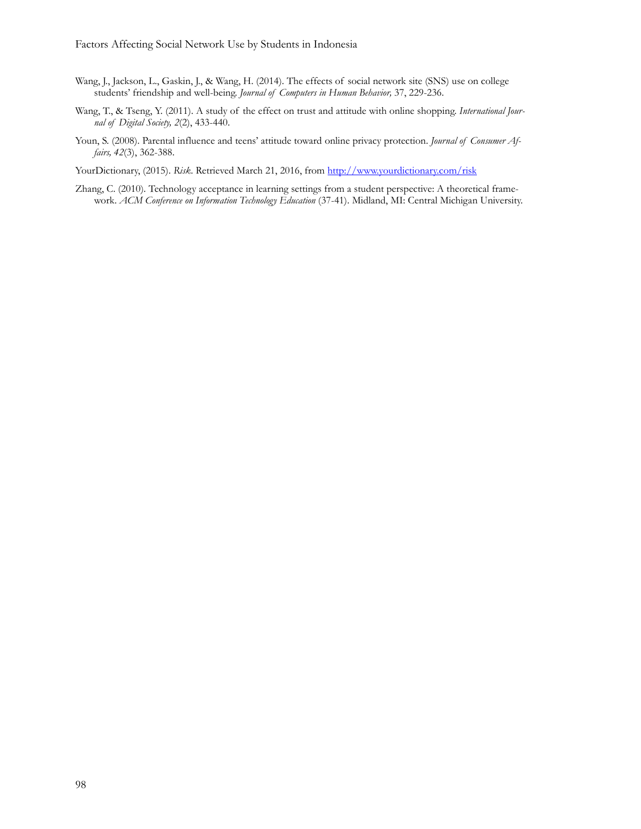- Wang, J., Jackson, L., Gaskin, J., & Wang, H. (2014). The effects of social network site (SNS) use on college students' friendship and well-being. *Journal of Computers in Human Behavior,* 37, 229-236.
- Wang, T., & Tseng, Y. (2011). A study of the effect on trust and attitude with online shopping. *International Journal of Digital Society, 2*(2), 433-440.
- Youn, S. (2008). Parental influence and teens' attitude toward online privacy protection. *Journal of Consumer Affairs, 42*(3), 362-388.

YourDictionary, (2015). *Risk.* Retrieved March 21, 2016, from <http://www.yourdictionary.com/risk>

Zhang, C. (2010). Technology acceptance in learning settings from a student perspective: A theoretical framework. *ACM Conference on Information Technology Education* (37-41). Midland, MI: Central Michigan University.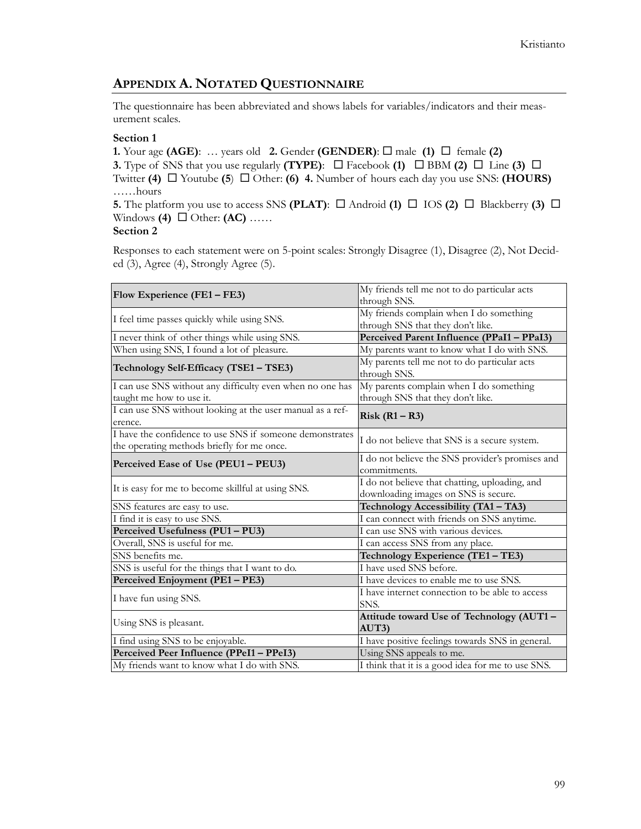## **APPENDIX A. NOTATED QUESTIONNAIRE**

The questionnaire has been abbreviated and shows labels for variables/indicators and their measurement scales.

#### **Section 1**

**1.** Your age (AGE): ... years old **2.** Gender (GENDER):  $\Box$  male (1)  $\Box$  female (2) **3.** Type of SNS that you use regularly **(TYPE)**:  $\Box$  Facebook **(1)**  $\Box$  BBM **(2)**  $\Box$  Line **(3)**  $\Box$ Twitter **(4)**  $\Box$  Youtube **(5)**  $\Box$  Other: **(6) 4.** Number of hours each day you use SNS: **(HOURS)** ……hours **5.** The platform you use to access SNS **(PLAT)**:  $\Box$  Android **(1)**  $\Box$  IOS **(2)**  $\Box$  Blackberry **(3)**  $\Box$ Windows **(4)**  $\Box$  Other: **(AC)** ……

## **Section 2**

Responses to each statement were on 5-point scales: Strongly Disagree (1), Disagree (2), Not Decided (3), Agree (4), Strongly Agree (5).

| Flow Experience (FE1 – FE3)                                                                            | My friends tell me not to do particular acts<br>through SNS.                           |  |  |  |  |
|--------------------------------------------------------------------------------------------------------|----------------------------------------------------------------------------------------|--|--|--|--|
|                                                                                                        |                                                                                        |  |  |  |  |
| I feel time passes quickly while using SNS.                                                            | My friends complain when I do something                                                |  |  |  |  |
|                                                                                                        | through SNS that they don't like.                                                      |  |  |  |  |
| I never think of other things while using SNS.                                                         | Perceived Parent Influence (PPaI1 - PPaI3)                                             |  |  |  |  |
| When using SNS, I found a lot of pleasure.                                                             | My parents want to know what I do with SNS.                                            |  |  |  |  |
| Technology Self-Efficacy (TSE1 - TSE3)                                                                 | My parents tell me not to do particular acts<br>through SNS.                           |  |  |  |  |
| I can use SNS without any difficulty even when no one has                                              | My parents complain when I do something                                                |  |  |  |  |
| taught me how to use it.                                                                               | through SNS that they don't like.                                                      |  |  |  |  |
| I can use SNS without looking at the user manual as a ref-<br>erence.                                  | $Risk (R1 - R3)$                                                                       |  |  |  |  |
| I have the confidence to use SNS if someone demonstrates<br>the operating methods briefly for me once. | I do not believe that SNS is a secure system.                                          |  |  |  |  |
| Perceived Ease of Use (PEU1 - PEU3)                                                                    | I do not believe the SNS provider's promises and<br>commitments.                       |  |  |  |  |
| It is easy for me to become skillful at using SNS.                                                     | I do not believe that chatting, uploading, and<br>downloading images on SNS is secure. |  |  |  |  |
| SNS features are easy to use.                                                                          | Technology Accessibility (TA1 - TA3)                                                   |  |  |  |  |
| I find it is easy to use SNS.                                                                          | I can connect with friends on SNS anytime.                                             |  |  |  |  |
| Perceived Usefulness (PU1-PU3)                                                                         | I can use SNS with various devices.                                                    |  |  |  |  |
| Overall, SNS is useful for me.                                                                         | I can access SNS from any place.                                                       |  |  |  |  |
| SNS benefits me.                                                                                       | Technology Experience (TE1-TE3)                                                        |  |  |  |  |
| SNS is useful for the things that I want to do.                                                        | I have used SNS before.                                                                |  |  |  |  |
| Perceived Enjoyment (PE1 - PE3)                                                                        | I have devices to enable me to use SNS.                                                |  |  |  |  |
| I have fun using SNS.                                                                                  | I have internet connection to be able to access<br>SNS.                                |  |  |  |  |
| Using SNS is pleasant.                                                                                 | Attitude toward Use of Technology (AUT1-<br>AUT3                                       |  |  |  |  |
| I find using SNS to be enjoyable.                                                                      | I have positive feelings towards SNS in general.                                       |  |  |  |  |
| Perceived Peer Influence (PPeI1 - PPeI3)                                                               | Using SNS appeals to me.                                                               |  |  |  |  |
| My friends want to know what I do with SNS.                                                            | I think that it is a good idea for me to use SNS.                                      |  |  |  |  |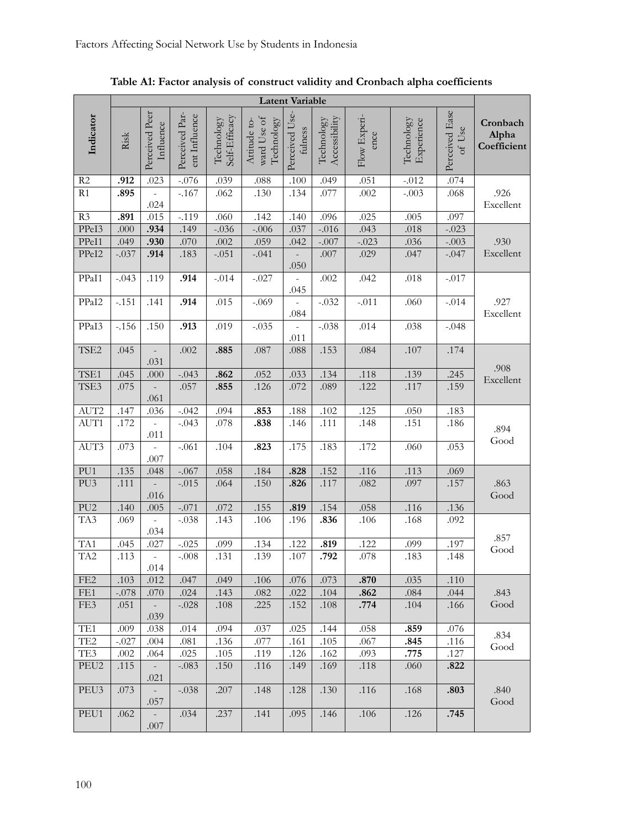|                  | <b>Latent Variable</b> |                                  |                                 |                             |                                           |                           |                             |                      |                          |                          |                                  |
|------------------|------------------------|----------------------------------|---------------------------------|-----------------------------|-------------------------------------------|---------------------------|-----------------------------|----------------------|--------------------------|--------------------------|----------------------------------|
| Indicator        | Risk                   | Perceived Peer<br>Influence      | Perceived Par-<br>ent Influence | Self-Efficacy<br>Technology | ward Use of<br>Technology<br>Attitude to- | Perceived Use-<br>fulness | Accessibility<br>Technology | Flow Experi-<br>ence | Technology<br>Experience | Perceived Ease<br>of Use | Cronbach<br>Alpha<br>Coefficient |
| R <sub>2</sub>   | .912                   | .023                             | $-.076$                         | .039                        | .088                                      | .100                      | .049                        | .051                 | $-.012$                  | .074                     |                                  |
| R1               | .895                   | .024                             | $-.167$                         | .062                        | .130                                      | .134                      | .077                        | .002                 | $-.003$                  | .068                     | .926<br>Excellent                |
| R3               | .891                   | .015                             | $-.119$                         | .060                        | .142                                      | .140                      | .096                        | .025                 | .005                     | .097                     |                                  |
| PPeI3            | .000                   | .934                             | .149                            | $-.036$                     | $-.006$                                   | .037                      | $-.016$                     | .043                 | $.018\,$                 | $-.023$                  |                                  |
| PPeI1            | .049                   | .930                             | .070                            | .002                        | .059                                      | .042                      | $-.007$                     | $-.023$              | .036                     | $-.003$                  | .930                             |
| PPeI2            | $-.037$                | .914                             | .183                            | $-.051$                     | $-.041$                                   | .050                      | .007                        | .029                 | .047                     | $-.047$                  | Excellent                        |
| PPaI1            | $-.043$                | .119                             | .914                            | $-.014$                     | $-.027$                                   | .045                      | .002                        | .042                 | $.018$                   | $-.017$                  |                                  |
| PPaI2            | $-.151$                | .141                             | .914                            | .015                        | $-.069$                                   | $.084$                    | $-.032$                     | $-.011$              | .060                     | $-.014$                  | .927<br>Excellent                |
| PPaI3            | $-.156$                | .150                             | .913                            | .019                        | $-.035$                                   | .011                      | $-.038$                     | .014                 | .038                     | $-.048$                  |                                  |
| TSE2             | .045                   | .031                             | .002                            | .885                        | .087                                      | $.088\,$                  | .153                        | .084                 | .107                     | .174                     |                                  |
| TSE1             | .045                   | .000                             | $-.043$                         | .862                        | .052                                      | .033                      | .134                        | .118                 | .139                     | .245                     | .908                             |
| TSE3             | .075                   |                                  | .057                            | .855                        | .126                                      | .072                      | .089                        | .122                 | .117                     | .159                     | Excellent                        |
|                  |                        | .061                             |                                 |                             |                                           |                           |                             |                      |                          |                          |                                  |
| AUT2             | .147                   | .036                             | $-.042$                         | .094                        | .853                                      | .188                      | .102                        | .125                 | .050                     | .183                     |                                  |
| AUT1             | .172                   | $\frac{1}{2}$<br>.011            | $-.043$                         | .078                        | .838                                      | .146                      | .111                        | .148                 | .151                     | .186                     | .894                             |
| AUT3             | .073                   | .007                             | $-.061$                         | .104                        | .823                                      | .175                      | .183                        | .172                 | .060                     | .053                     | Good                             |
| PU1              | .135                   | .048                             | $-.067$                         | .058                        | .184                                      | .828                      | .152                        | .116                 | .113                     | .069                     |                                  |
| PU <sub>3</sub>  | .111                   | .016                             | $-.015$                         | .064                        | .150                                      | .826                      | .117                        | .082                 | .097                     | .157                     | .863<br>Good                     |
| PU <sub>2</sub>  | .140                   | .005                             | $-.071$                         | .072                        | .155                                      | .819                      | .154                        | .058                 | .116                     | .136                     |                                  |
| TA3              | .069                   | ÷,<br>.034                       | $-.038$                         | .143                        | .106                                      | .196                      | .836                        | .106                 | .168                     | .092                     |                                  |
| TA1              | .045                   | .027                             | $-.025$                         | .099                        | .134                                      | .122                      | .819                        | .122                 | .099                     | .197                     | .857                             |
| TA <sub>2</sub>  | .113                   | ÷,<br>.014                       | $-.008$                         | .131                        | .139                                      | .107                      | .792                        | .078                 | .183                     | .148                     | Good                             |
| FE <sub>2</sub>  | .103                   | .012                             | .047                            | .049                        | .106                                      | .076                      | .073                        | .870                 | .035                     | .110                     |                                  |
| FE1              | $-.078$                | .070                             | .024                            | .143                        | .082                                      | .022                      | .104                        | .862                 | .084                     | .044                     | .843                             |
| FE3              | .051                   | $\overline{\phantom{a}}$<br>.039 | $-.028$                         | .108                        | .225                                      | .152                      | $.108\,$                    | .774                 | .104                     | .166                     | Good                             |
| TE1              | .009                   | .038                             | .014                            | .094                        | .037                                      | .025                      | .144                        | .058                 | .859                     | .076                     |                                  |
| TE <sub>2</sub>  | $-.027$                | .004                             | .081                            | .136                        | .077                                      | .161                      | .105                        | .067                 | .845                     | .116                     | .834                             |
| TE3              | .002                   | .064                             | .025                            | .105                        | .119                                      | .126                      | .162                        | .093                 | .775                     | .127                     | Good                             |
| PEU <sub>2</sub> | .115                   | $\overline{\phantom{a}}$<br>.021 | $-.083$                         | .150                        | .116                                      | .149                      | .169                        | .118                 | .060                     | .822                     |                                  |
| PEU3             | .073                   | $\overline{\phantom{a}}$<br>.057 | $-.038$                         | .207                        | .148                                      | .128                      | .130                        | .116                 | .168                     | .803                     | .840<br>Good                     |
| PEU1             | .062                   | .007                             | .034                            | .237                        | .141                                      | .095                      | .146                        | .106                 | .126                     | .745                     |                                  |

**Table A1: Factor analysis of construct validity and Cronbach alpha coefficients**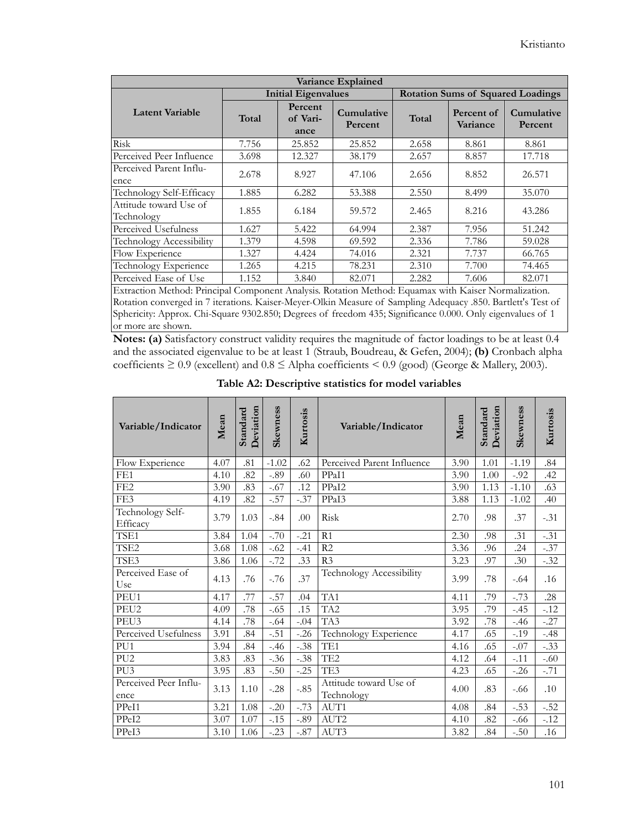| Variance Explained                   |                                      |                            |                       |                                          |                        |                       |  |  |
|--------------------------------------|--------------------------------------|----------------------------|-----------------------|------------------------------------------|------------------------|-----------------------|--|--|
|                                      |                                      | <b>Initial Eigenvalues</b> |                       | <b>Rotation Sums of Squared Loadings</b> |                        |                       |  |  |
| <b>Latent Variable</b>               | Percent<br>Total<br>of Vari-<br>ance |                            | Cumulative<br>Percent | Total                                    | Percent of<br>Variance | Cumulative<br>Percent |  |  |
| Risk                                 | 7.756                                | 25.852                     | 25.852                | 2.658                                    | 8.861                  | 8.861                 |  |  |
| Perceived Peer Influence             | 3.698                                | 12.327                     | 38.179                | 2.657                                    | 8.857                  | 17.718                |  |  |
| Perceived Parent Influ-<br>ence      | 2.678                                | 8.927                      | 47.106                | 2.656                                    | 8.852                  | 26.571                |  |  |
| Technology Self-Efficacy             | 1.885                                | 6.282                      | 53.388                | 2.550                                    | 8.499                  | 35.070                |  |  |
| Attitude toward Use of<br>Technology | 1.855                                | 6.184                      | 59.572                | 2.465                                    | 8.216                  | 43.286                |  |  |
| Perceived Usefulness                 | 1.627                                | 5.422                      | 64.994                | 2.387                                    | 7.956                  | 51.242                |  |  |
| Technology Accessibility             | 1.379                                | 4.598                      | 69.592                | 2.336                                    | 7.786                  | 59.028                |  |  |
| Flow Experience                      | 1.327                                | 4.424                      | 74.016                | 2.321                                    | 7.737                  | 66.765                |  |  |
| Technology Experience                | 1.265                                | 4.215                      | 78.231                | 2.310                                    | 7.700                  | 74.465                |  |  |
| Perceived Ease of Use                | 1.152                                | 3.840                      | 82.071                | 2.282                                    | 7.606                  | 82.071                |  |  |

Extraction Method: Principal Component Analysis. Rotation Method: Equamax with Kaiser Normalization. Rotation converged in 7 iterations. Kaiser-Meyer-Olkin Measure of Sampling Adequacy .850. Bartlett's Test of Sphericity: Approx. Chi-Square 9302.850; Degrees of freedom 435; Significance 0.000. Only eigenvalues of 1 or more are shown.

**Notes: (a)** Satisfactory construct validity requires the magnitude of factor loadings to be at least 0.4 and the associated eigenvalue to be at least 1 (Straub, Boudreau, & Gefen, 2004); **(b)** Cronbach alpha coefficients  $\geq 0.9$  (excellent) and  $0.8 \leq$  Alpha coefficients  $\leq 0.9$  (good) (George & Mallery, 2003).

| Variable/Indicator            | Mean | Deviation<br>Standard | Skewness | Kurtosis | Variable/Indicator                   | Mean | Deviation<br>Standard | Skewness | Kurtosis |
|-------------------------------|------|-----------------------|----------|----------|--------------------------------------|------|-----------------------|----------|----------|
| Flow Experience               | 4.07 | .81                   | $-1.02$  | .62      | Perceived Parent Influence           | 3.90 | 1.01                  | $-1.19$  | .84      |
| FE <sub>1</sub>               | 4.10 | .82                   | $-.89$   | .60      | PPaI1                                | 3.90 | 1.00                  | $-0.92$  | .42      |
| FE <sub>2</sub>               | 3.90 | .83                   | $-.67$   | .12      | PPaI2                                | 3.90 | 1.13                  | $-1.10$  | .63      |
| FE3                           | 4.19 | .82                   | $-.57$   | $-.37$   | PPaI3                                | 3.88 | 1.13                  | $-1.02$  | .40      |
| Technology Self-<br>Efficacy  | 3.79 | 1.03                  | $-.84$   | .00      | Risk                                 | 2.70 | .98                   | .37      | $-.31$   |
| TSE1                          | 3.84 | 1.04                  | $-.70$   | $-.21$   | R <sub>1</sub>                       | 2.30 | .98                   | .31      | $-.31$   |
| TSE <sub>2</sub>              | 3.68 | 1.08                  | $-.62$   | $-.41$   | R <sub>2</sub>                       | 3.36 | .96                   | .24      | $-.37$   |
| TSE3                          | 3.86 | 1.06                  | $-.72$   | .33      | R <sub>3</sub>                       | 3.23 | .97                   | .30      | $-.32$   |
| Perceived Ease of<br>Use      | 4.13 | .76                   | $-.76$   | .37      | Technology Accessibility             | 3.99 | .78                   | $-.64$   | .16      |
| PEU1                          | 4.17 | .77                   | $-.57$   | .04      | TA1                                  | 4.11 | .79                   | $-.73$   | .28      |
| PEU2                          | 4.09 | .78                   | $-.65$   | .15      | TA <sub>2</sub>                      | 3.95 | .79                   | $-.45$   | $-.12$   |
| PEU3                          | 4.14 | .78                   | $-.64$   | $-.04$   | TA3                                  | 3.92 | .78                   | $-.46$   | $-.27$   |
| Perceived Usefulness          | 3.91 | .84                   | $-.51$   | $-26$    | Technology Experience                | 4.17 | .65                   | $-.19$   | $-.48$   |
| PU <sub>1</sub>               | 3.94 | .84                   | $-.46$   | $-.38$   | TE1                                  | 4.16 | .65                   | $-.07$   | $-.33$   |
| PU <sub>2</sub>               | 3.83 | .83                   | $-.36$   | $-.38$   | TE <sub>2</sub>                      | 4.12 | .64                   | $-.11$   | $-.60$   |
| PU <sub>3</sub>               | 3.95 | .83                   | $-.50$   | $-.25$   | TE3                                  | 4.23 | .65                   | $-26$    | $-.71$   |
| Perceived Peer Influ-<br>ence | 3.13 | 1.10                  | $-.28$   | $-.85$   | Attitude toward Use of<br>Technology | 4.00 | .83                   | $-.66$   | .10      |
| PPeI1                         | 3.21 | 1.08                  | $-.20$   | $-.73$   | AUT1                                 | 4.08 | .84                   | $-.53$   | $-.52$   |
| PPeI2                         | 3.07 | 1.07                  | $-.15$   | $-.89$   | AUT2                                 | 4.10 | .82                   | $-.66$   | $-.12$   |
| PPeI3                         | 3.10 | 1.06                  | $-.23$   | $-.87$   | AUT3                                 | 3.82 | .84                   | $-.50$   | .16      |

**Table A2: Descriptive statistics for model variables**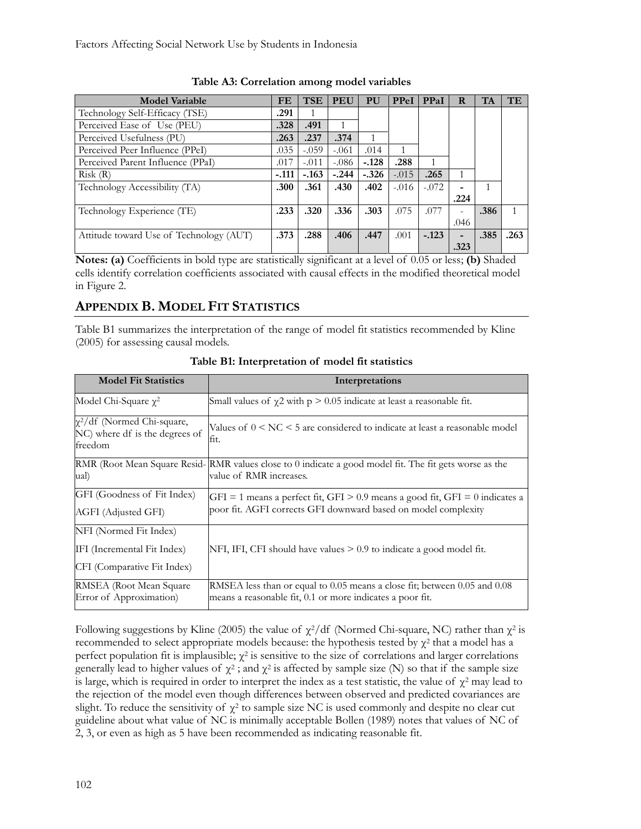Factors Affecting Social Network Use by Students in Indonesia

| <b>Model Variable</b>                   | FE      | <b>TSE</b> | PEU     | PU      | PPeI    | PPaI    | R    | <b>TA</b> | <b>TE</b> |
|-----------------------------------------|---------|------------|---------|---------|---------|---------|------|-----------|-----------|
| Technology Self-Efficacy (TSE)          | .291    | 1          |         |         |         |         |      |           |           |
| Perceived Ease of Use (PEU)             | .328    | .491       |         |         |         |         |      |           |           |
| Perceived Usefulness (PU)               | .263    | .237       | .374    |         |         |         |      |           |           |
| Perceived Peer Influence (PPeI)         | .035    | $-.059$    | $-.061$ | .014    |         |         |      |           |           |
| Perceived Parent Influence (PPaI)       | .017    | $-.011$    | $-.086$ | $-.128$ | .288    |         |      |           |           |
| Risk(R)                                 | $-.111$ | $-.163$    | $-.244$ | $-.326$ | $-.015$ | .265    |      |           |           |
| Technology Accessibility (TA)           | .300    | .361       | .430    | .402    | $-.016$ | $-.072$ |      |           |           |
|                                         |         |            |         |         |         |         | .224 |           |           |
| Technology Experience (TE)              | .233    | .320       | .336    | .303    | .075    | .077    | ۰    | .386      |           |
|                                         |         |            |         |         |         |         | .046 |           |           |
| Attitude toward Use of Technology (AUT) | .373    | .288       | .406    | .447    | .001    | $-.123$ | -    | .385      | .263      |
|                                         |         |            |         |         |         |         | .323 |           |           |

**Table A3: Correlation among model variables**

**Notes: (a)** Coefficients in bold type are statistically significant at a level of 0.05 or less; **(b)** Shaded cells identify correlation coefficients associated with causal effects in the modified theoretical model in Figure 2.

## **APPENDIX B. MODEL FIT STATISTICS**

Table B1 summarizes the interpretation of the range of model fit statistics recommended by Kline (2005) for assessing causal models.

| <b>Model Fit Statistics</b>                                                   | Interpretations                                                                                                                                |
|-------------------------------------------------------------------------------|------------------------------------------------------------------------------------------------------------------------------------------------|
| Model Chi-Square $\gamma^2$                                                   | Small values of $\chi$ 2 with p > 0.05 indicate at least a reasonable fit.                                                                     |
| $\chi^2$ /df (Normed Chi-square,<br>NC) where df is the degrees of<br>freedom | Values of $0 \leq NC \leq 5$ are considered to indicate at least a reasonable model<br>fit.                                                    |
| ual)                                                                          | RMR (Root Mean Square Resid- RMR values close to 0 indicate a good model fit. The fit gets worse as the<br>value of RMR increases.             |
| GFI (Goodness of Fit Index)<br>AGFI (Adjusted GFI)                            | GFI = 1 means a perfect fit, GFI > 0.9 means a good fit, GFI = 0 indicates a<br>poor fit. AGFI corrects GFI downward based on model complexity |
| NFI (Normed Fit Index)                                                        |                                                                                                                                                |
| IFI (Incremental Fit Index)                                                   | NFI, IFI, CFI should have values $> 0.9$ to indicate a good model fit.                                                                         |
| CFI (Comparative Fit Index)                                                   |                                                                                                                                                |
| RMSEA (Root Mean Square<br>Error of Approximation)                            | RMSEA less than or equal to 0.05 means a close fit; between 0.05 and 0.08<br>means a reasonable fit, 0.1 or more indicates a poor fit.         |

**Table B1: Interpretation of model fit statistics**

Following suggestions by Kline (2005) the value of  $\chi^2$ /df (Normed Chi-square, NC) rather than  $\chi^2$  is recommended to select appropriate models because: the hypothesis tested by  $\chi^2$  that a model has a perfect population fit is implausible;  $\chi^2$  is sensitive to the size of correlations and larger correlations generally lead to higher values of  $\chi^2$ ; and  $\chi^2$  is affected by sample size (N) so that if the sample size is large, which is required in order to interpret the index as a test statistic, the value of  $\chi^2$  may lead to the rejection of the model even though differences between observed and predicted covariances are slight. To reduce the sensitivity of  $\chi^2$  to sample size NC is used commonly and despite no clear cut guideline about what value of NC is minimally acceptable Bollen (1989) notes that values of NC of 2, 3, or even as high as 5 have been recommended as indicating reasonable fit.